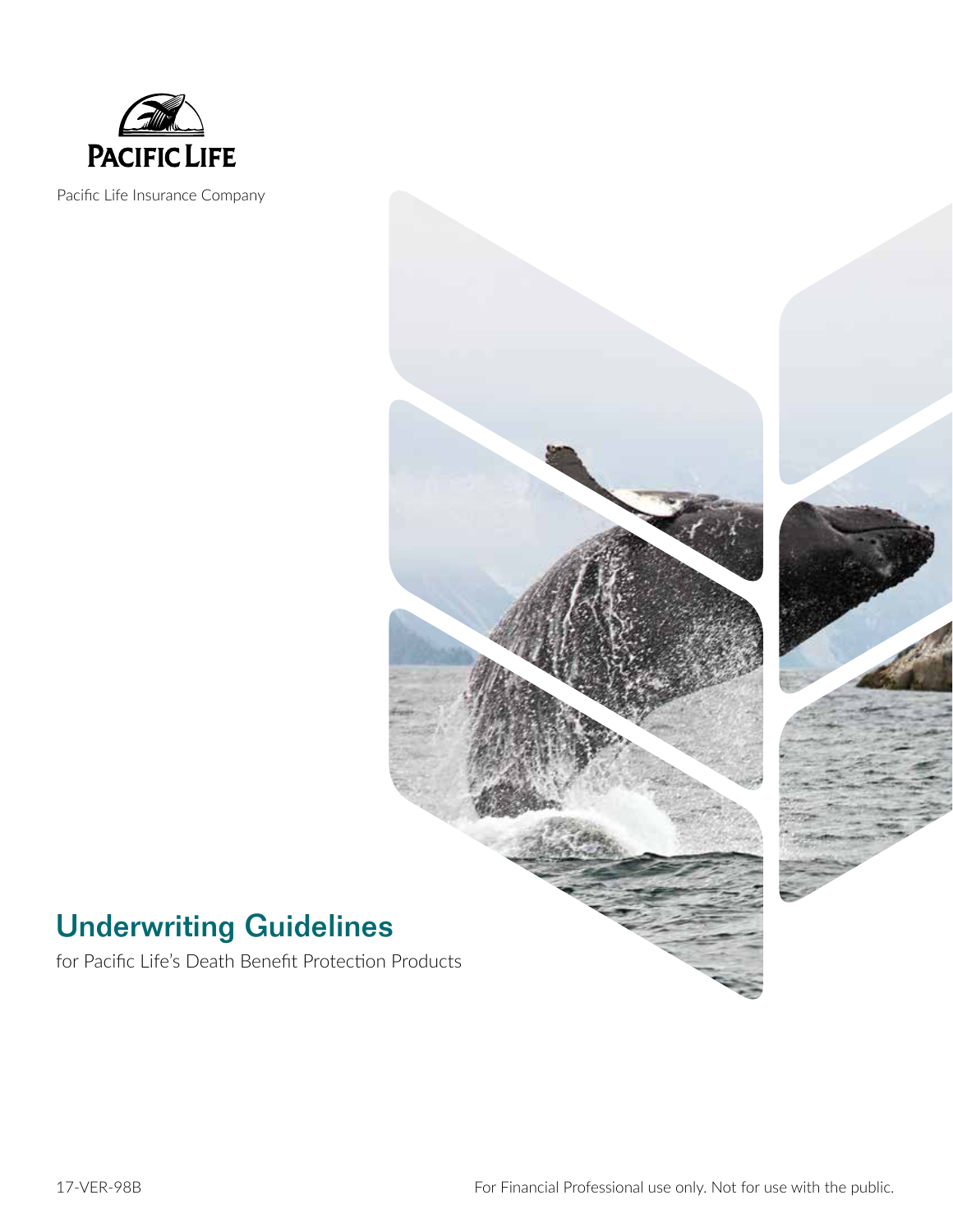

Pacific Life Insurance Company



# Underwriting Guidelines

for Pacific Life's Death Benefit Protection Products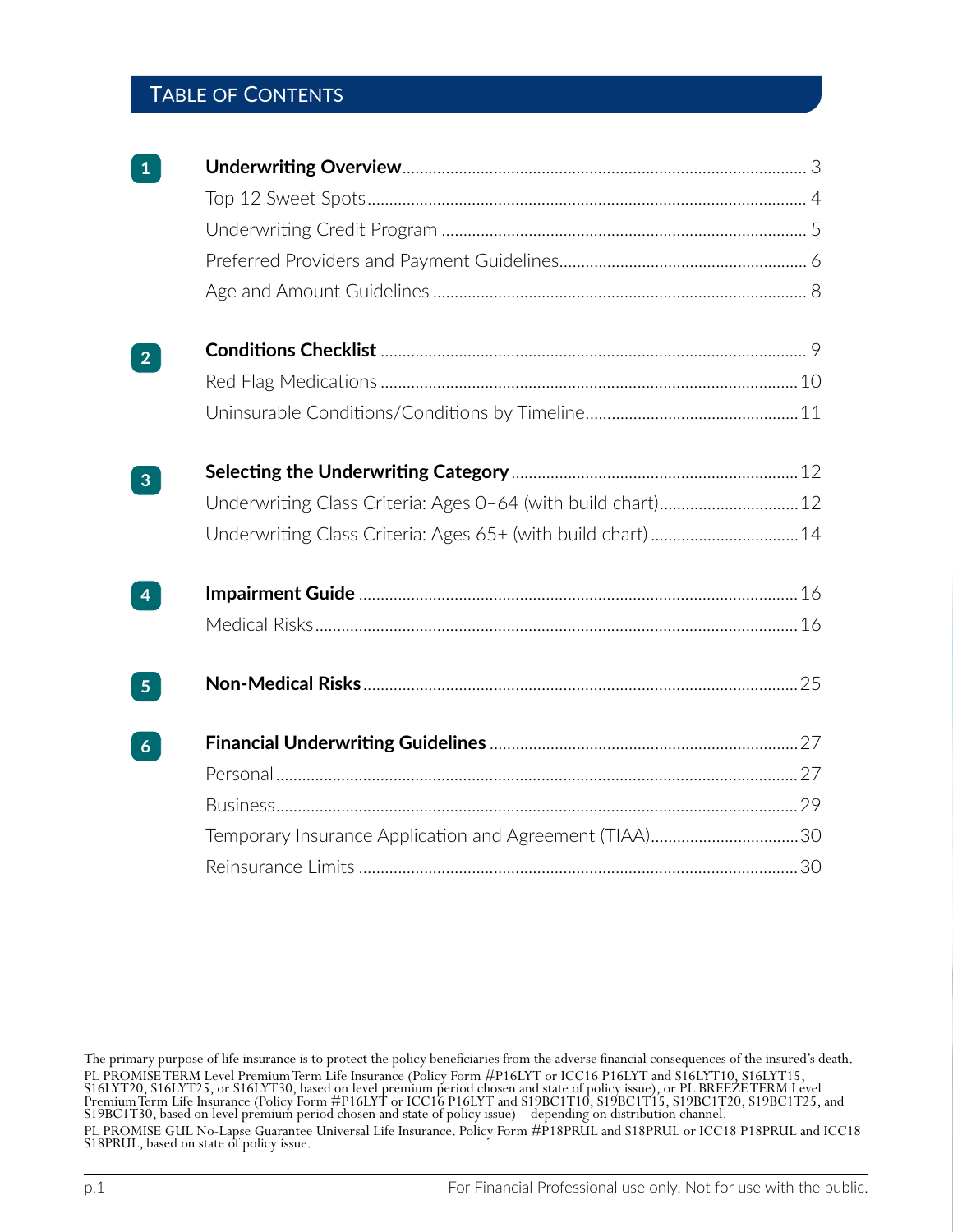# Table of Contents

| 2 <sup>1</sup> |                                                              |  |
|----------------|--------------------------------------------------------------|--|
|                |                                                              |  |
|                |                                                              |  |
| $\mathbf{3}$   |                                                              |  |
|                |                                                              |  |
|                | Underwriting Class Criteria: Ages 65+ (with build chart)  14 |  |
| $\overline{4}$ |                                                              |  |
|                |                                                              |  |
| 5 <sub>5</sub> |                                                              |  |
| 6 <sup>1</sup> |                                                              |  |
|                |                                                              |  |
|                |                                                              |  |
|                | Temporary Insurance Application and Agreement (TIAA)30       |  |
|                |                                                              |  |

The primary purpose of life insurance is to protect the policy beneficiaries from the adverse financial consequences of the insured's death. PL PROMISE TERM Level Premium Term Life Insurance (Policy Form #P16LYT or ICC16 P16LYT and S16LYT10, S16LYT15, S16LYT20, S16LYT25, or S16LYT30, based on level premium period chosen and state of policy issue), or PL BREEZE TERM Level Premium Term Life Insurance (Policy Form #P16LYT or ICC16 P16LYT and S19BC1T10, S19BC1T15, S19BC1T20, S19BC1T25, and S19BC1T30, based on level premium period chosen and state of policy issue) – depending on distribution channel. PL PROMISE GUL No-Lapse Guarantee Universal Life Insurance. Policy Form #P18PRUL and S18PRUL or ICC18 P18PRUL and ICC18 S18PRUL, based on state of policy issue.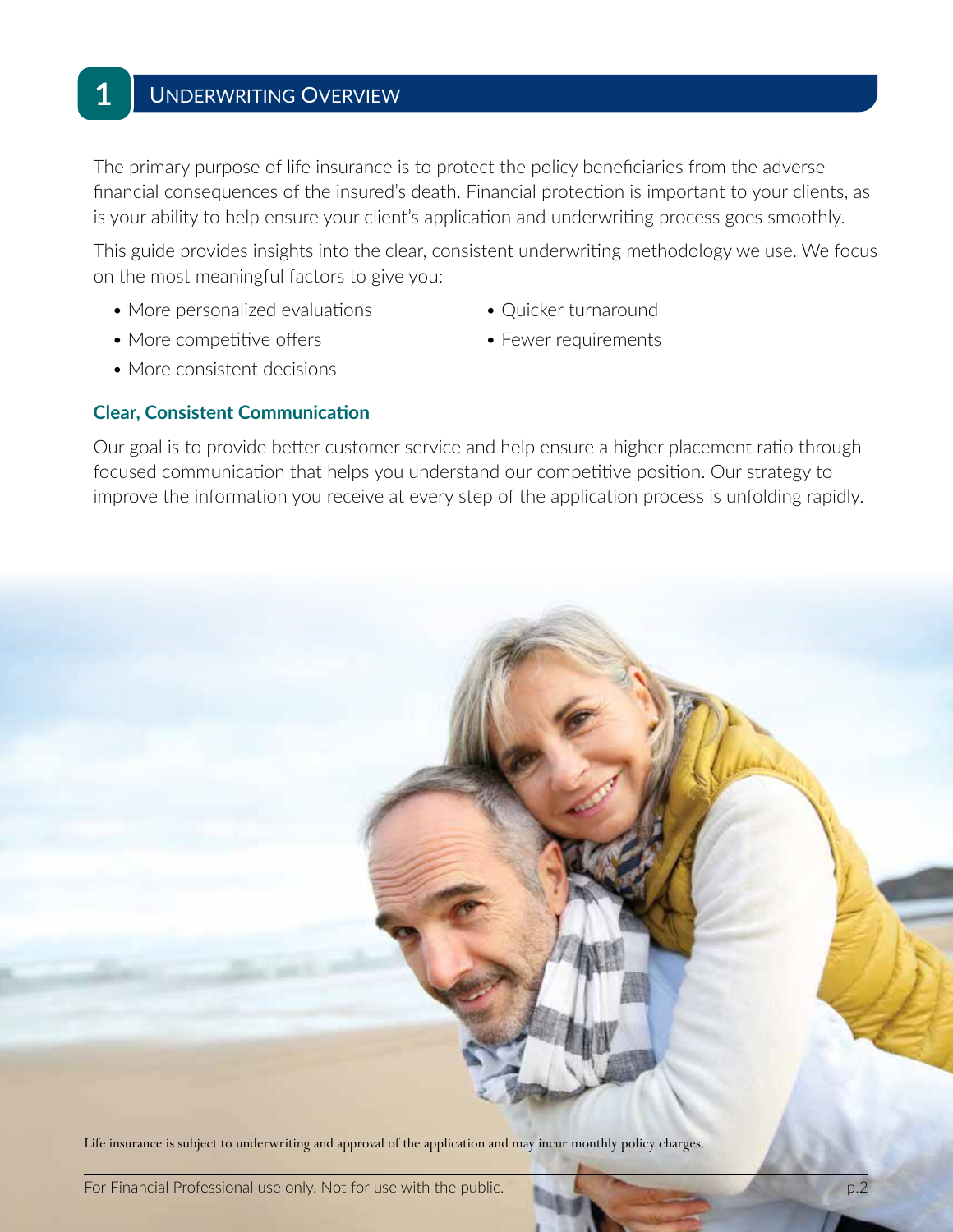**1**

The primary purpose of life insurance is to protect the policy beneficiaries from the adverse financial consequences of the insured's death. Financial protection is important to your clients, as is your ability to help ensure your client's application and underwriting process goes smoothly.

This guide provides insights into the clear, consistent underwriting methodology we use. We focus on the most meaningful factors to give you:

- More personalized evaluations Quicker turnaround
- More competitive offers • Fewer requirements
- 
- 

• More consistent decisions

#### **Clear, Consistent Communication**

Our goal is to provide better customer service and help ensure a higher placement ratio through focused communication that helps you understand our competitive position. Our strategy to improve the information you receive at every step of the application process is unfolding rapidly.



Life insurance is subject to underwriting and approval of the application and may incur monthly policy charges.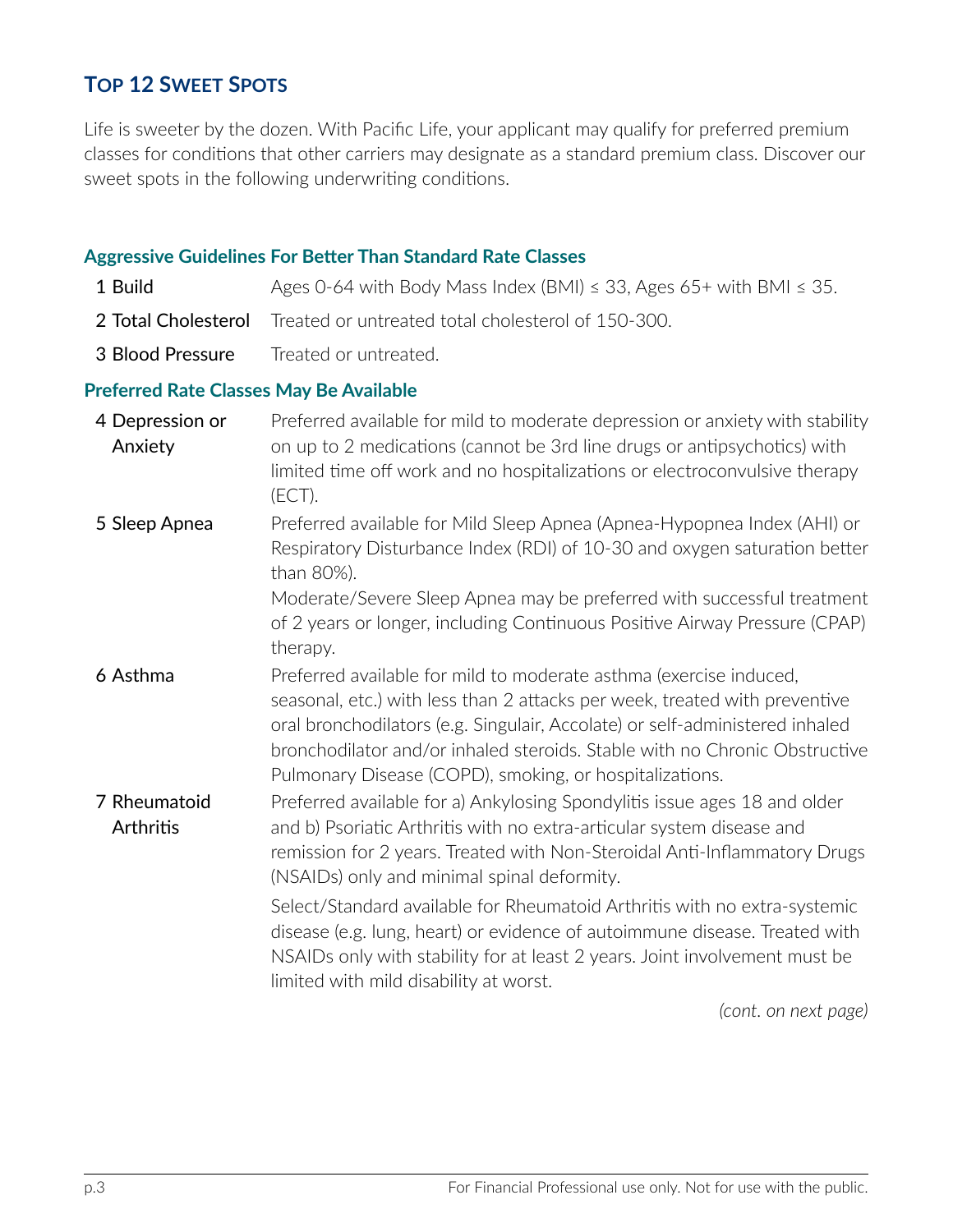# **Top 12 Sweet Spots**

Life is sweeter by the dozen. With Pacific Life, your applicant may qualify for preferred premium classes for conditions that other carriers may designate as a standard premium class. Discover our sweet spots in the following underwriting conditions.

#### **Aggressive Guidelines For Better Than Standard Rate Classes**

| 1 Build          | Ages 0-64 with Body Mass Index (BMI) $\leq$ 33, Ages 65+ with BMI $\leq$ 35.  |
|------------------|-------------------------------------------------------------------------------|
|                  | <b>2 Total Cholesterol</b> Treated or untreated total cholesterol of 150-300. |
| 3 Blood Pressure | Treated or untreated.                                                         |

#### **Preferred Rate Classes May Be Available**

| 4 Depression or<br>Anxiety | Preferred available for mild to moderate depression or anxiety with stability<br>on up to 2 medications (cannot be 3rd line drugs or antipsychotics) with<br>limited time off work and no hospitalizations or electroconvulsive therapy<br>(ECT).                                                                                                                         |
|----------------------------|---------------------------------------------------------------------------------------------------------------------------------------------------------------------------------------------------------------------------------------------------------------------------------------------------------------------------------------------------------------------------|
| 5 Sleep Apnea              | Preferred available for Mild Sleep Apnea (Apnea-Hypopnea Index (AHI) or<br>Respiratory Disturbance Index (RDI) of 10-30 and oxygen saturation better<br>than 80%).<br>Moderate/Severe Sleep Apnea may be preferred with successful treatment<br>of 2 years or longer, including Continuous Positive Airway Pressure (CPAP)<br>therapy.                                    |
| 6 Asthma                   | Preferred available for mild to moderate asthma (exercise induced,<br>seasonal, etc.) with less than 2 attacks per week, treated with preventive<br>oral bronchodilators (e.g. Singulair, Accolate) or self-administered inhaled<br>bronchodilator and/or inhaled steroids. Stable with no Chronic Obstructive<br>Pulmonary Disease (COPD), smoking, or hospitalizations. |
| 7 Rheumatoid<br>Arthritis  | Preferred available for a) Ankylosing Spondylitis issue ages 18 and older<br>and b) Psoriatic Arthritis with no extra-articular system disease and<br>remission for 2 years. Treated with Non-Steroidal Anti-Inflammatory Drugs<br>(NSAIDs) only and minimal spinal deformity.                                                                                            |
|                            | Select/Standard available for Rheumatoid Arthritis with no extra-systemic<br>disease (e.g. lung, heart) or evidence of autoimmune disease. Treated with<br>NSAIDs only with stability for at least 2 years. Joint involvement must be<br>limited with mild disability at worst.                                                                                           |

*(cont. on next page)*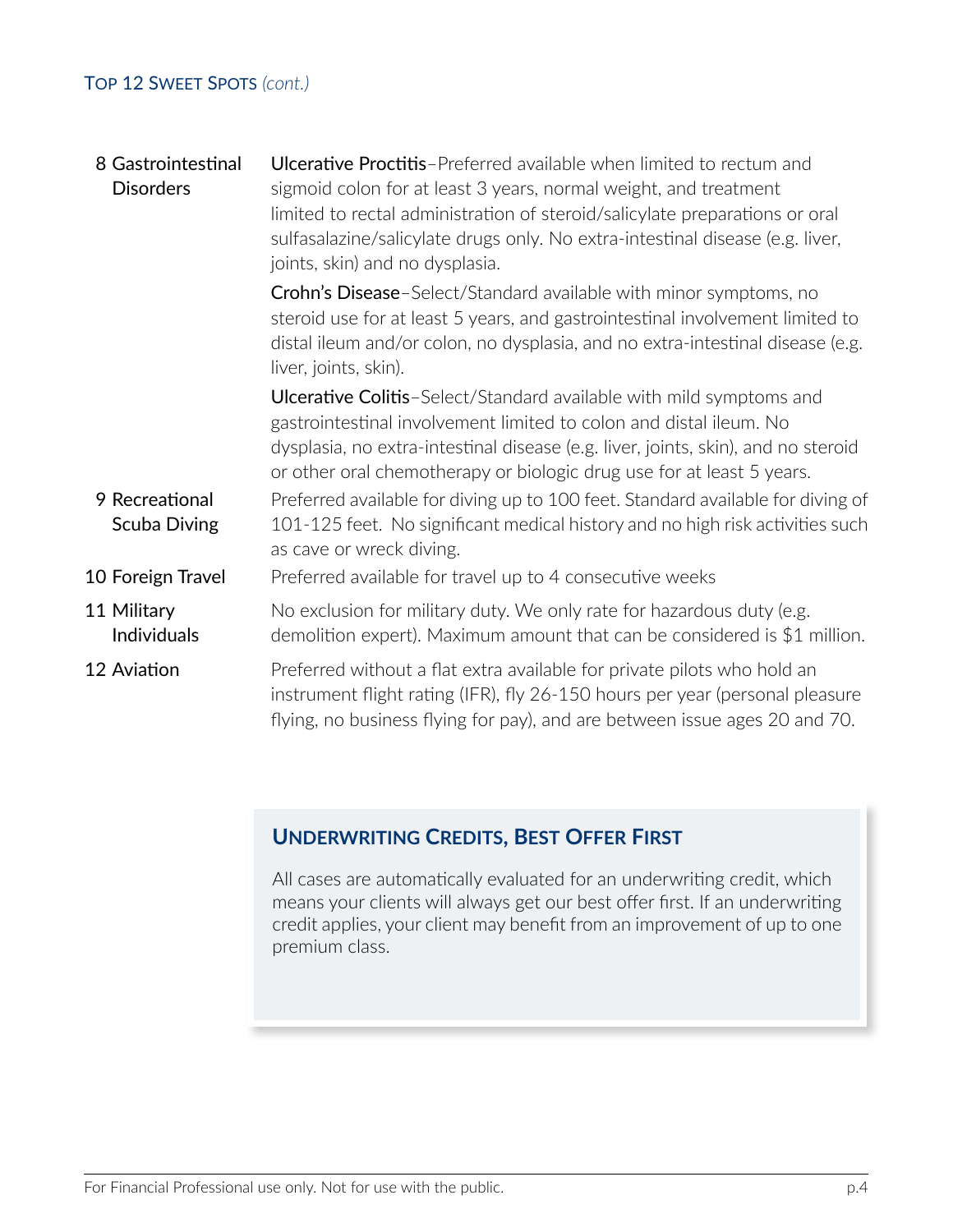## Top 12 Sweet Spots *(cont.)*

| 8 Gastrointestinal<br><b>Disorders</b> | <b>Ulcerative Proctitis-Preferred available when limited to rectum and</b><br>sigmoid colon for at least 3 years, normal weight, and treatment<br>limited to rectal administration of steroid/salicylate preparations or oral<br>sulfasalazine/salicylate drugs only. No extra-intestinal disease (e.g. liver,<br>joints, skin) and no dysplasia. |
|----------------------------------------|---------------------------------------------------------------------------------------------------------------------------------------------------------------------------------------------------------------------------------------------------------------------------------------------------------------------------------------------------|
|                                        | Crohn's Disease-Select/Standard available with minor symptoms, no<br>steroid use for at least 5 years, and gastrointestinal involvement limited to<br>distal ileum and/or colon, no dysplasia, and no extra-intestinal disease (e.g.<br>liver, joints, skin).                                                                                     |
|                                        | <b>Ulcerative Colitis-Select/Standard available with mild symptoms and</b><br>gastrointestinal involvement limited to colon and distal ileum. No<br>dysplasia, no extra-intestinal disease (e.g. liver, joints, skin), and no steroid<br>or other oral chemotherapy or biologic drug use for at least 5 years.                                    |
| 9 Recreational<br><b>Scuba Diving</b>  | Preferred available for diving up to 100 feet. Standard available for diving of<br>101-125 feet. No significant medical history and no high risk activities such<br>as cave or wreck diving.                                                                                                                                                      |
| 10 Foreign Travel                      | Preferred available for travel up to 4 consecutive weeks                                                                                                                                                                                                                                                                                          |
| 11 Military<br>Individuals             | No exclusion for military duty. We only rate for hazardous duty (e.g.<br>demolition expert). Maximum amount that can be considered is $$1$ million.                                                                                                                                                                                               |
| 12 Aviation                            | Preferred without a flat extra available for private pilots who hold an<br>instrument flight rating (IFR), fly 26-150 hours per year (personal pleasure<br>flying, no business flying for pay), and are between issue ages 20 and 70.                                                                                                             |

# **Underwriting Credits, Best Offer First**

All cases are automatically evaluated for an underwriting credit, which means your clients will always get our best offer first. If an underwriting credit applies, your client may benefit from an improvement of up to one premium class.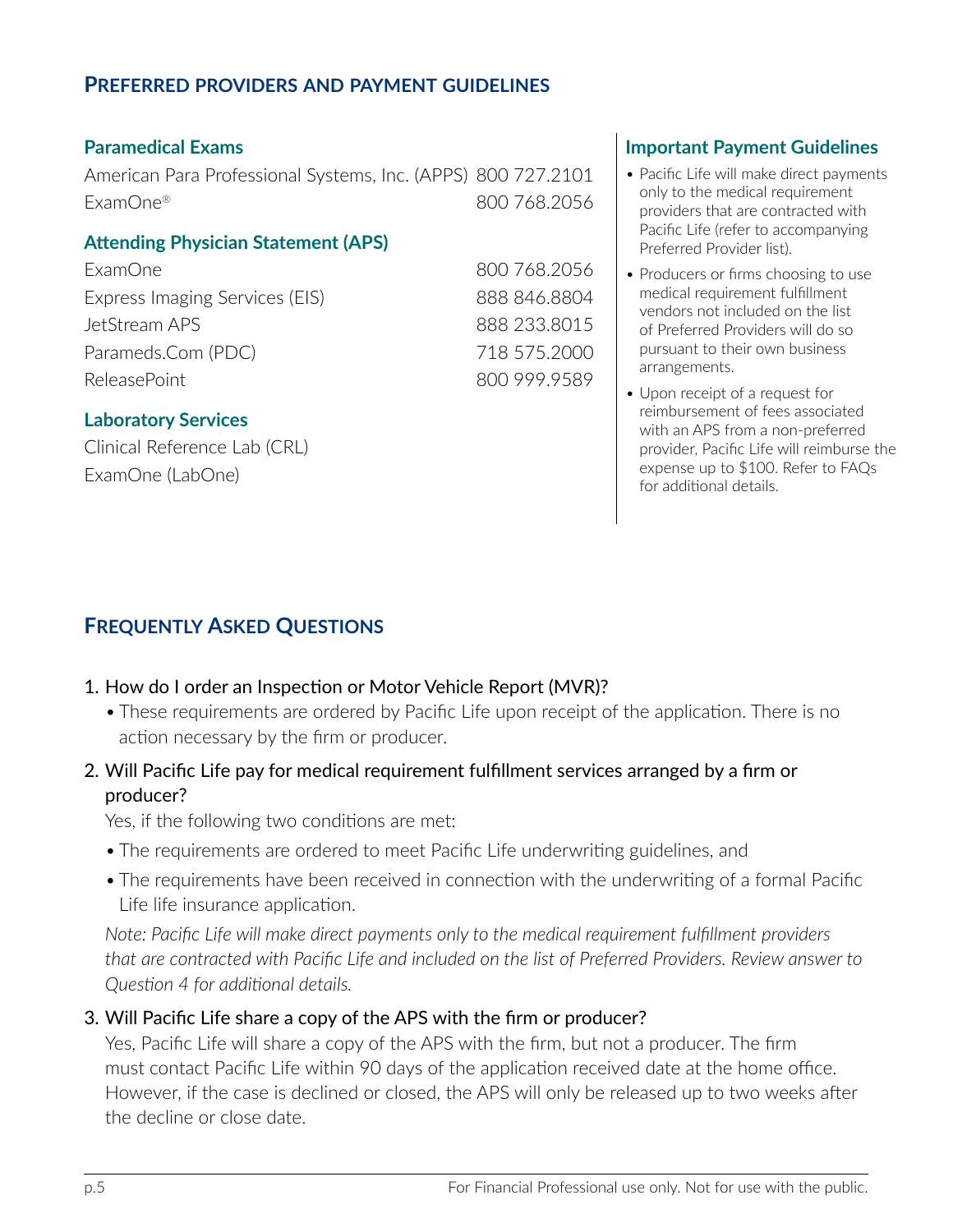## **Preferred providers and payment guidelines**

American Para Professional Systems, Inc. (APPS) 800 727.2101 • Pacific Life will make direct payments ExamOne® 800 768.2056

## **Attending Physician Statement (APS)**

ExamOne 800 768.2056 Express Imaging Services (EIS) 888 846.8804 JetStream APS 888 233.8015 Parameds.Com (PDC) 718 575.2000 ReleasePoint 800 999.9589

## **Laboratory Services**

Clinical Reference Lab (CRL) ExamOne (LabOne)

# **Paramedical Exams Important Payment Guidelines**

- only to the medical requirement providers that are contracted with Pacific Life (refer to accompanying Preferred Provider list).
- Producers or firms choosing to use medical requirement fulfillment vendors not included on the list of Preferred Providers will do so pursuant to their own business arrangements.
- Upon receipt of a request for reimbursement of fees associated with an APS from a non-preferred provider, Pacific Life will reimburse the expense up to \$100. Refer to FAQs for additional details.

# **Frequently Asked Questions**

## 1. How do I order an Inspection or Motor Vehicle Report (MVR)?

• These requirements are ordered by Pacific Life upon receipt of the application. There is no action necessary by the firm or producer.

# 2. Will Pacific Life pay for medical requirement fulfillment services arranged by a firm or producer?

Yes, if the following two conditions are met:

- The requirements are ordered to meet Pacific Life underwriting guidelines, and
- The requirements have been received in connection with the underwriting of a formal Pacific Life life insurance application.

*Note: Pacific Life will make direct payments only to the medical requirement fulfillment providers that are contracted with Pacific Life and included on the list of Preferred Providers. Review answer to Question 4 for additional details.*

## 3. Will Pacific Life share a copy of the APS with the firm or producer?

Yes, Pacific Life will share a copy of the APS with the firm, but not a producer. The firm must contact Pacific Life within 90 days of the application received date at the home office. However, if the case is declined or closed, the APS will only be released up to two weeks after the decline or close date.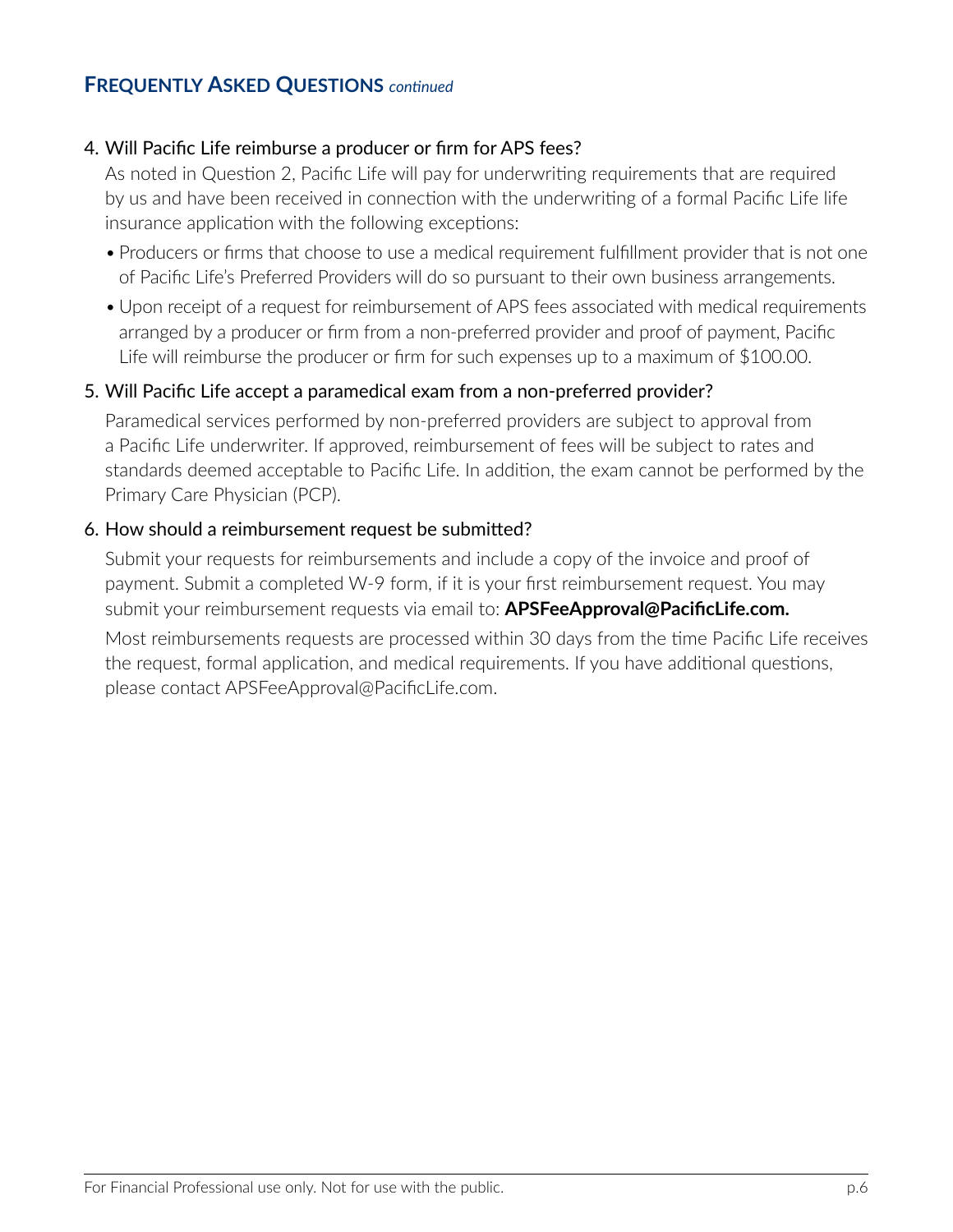# **Frequently Asked Questions** *continued*

#### 4. Will Pacific Life reimburse a producer or firm for APS fees?

As noted in Question 2, Pacific Life will pay for underwriting requirements that are required by us and have been received in connection with the underwriting of a formal Pacific Life life insurance application with the following exceptions:

- Producers or firms that choose to use a medical requirement fulfillment provider that is not one of Pacific Life's Preferred Providers will do so pursuant to their own business arrangements.
- Upon receipt of a request for reimbursement of APS fees associated with medical requirements arranged by a producer or firm from a non-preferred provider and proof of payment, Pacific Life will reimburse the producer or firm for such expenses up to a maximum of \$100.00.

#### 5. Will Pacific Life accept a paramedical exam from a non-preferred provider?

Paramedical services performed by non-preferred providers are subject to approval from a Pacific Life underwriter. If approved, reimbursement of fees will be subject to rates and standards deemed acceptable to Pacific Life. In addition, the exam cannot be performed by the Primary Care Physician (PCP).

#### 6. How should a reimbursement request be submitted?

Submit your requests for reimbursements and include a copy of the invoice and proof of payment. Submit a completed W-9 form, if it is your first reimbursement request. You may submit your reimbursement requests via email to: **APSFeeApproval@PacificLife.com.**

Most reimbursements requests are processed within 30 days from the time Pacific Life receives the request, formal application, and medical requirements. If you have additional questions, please contact APSFeeApproval@PacificLife.com.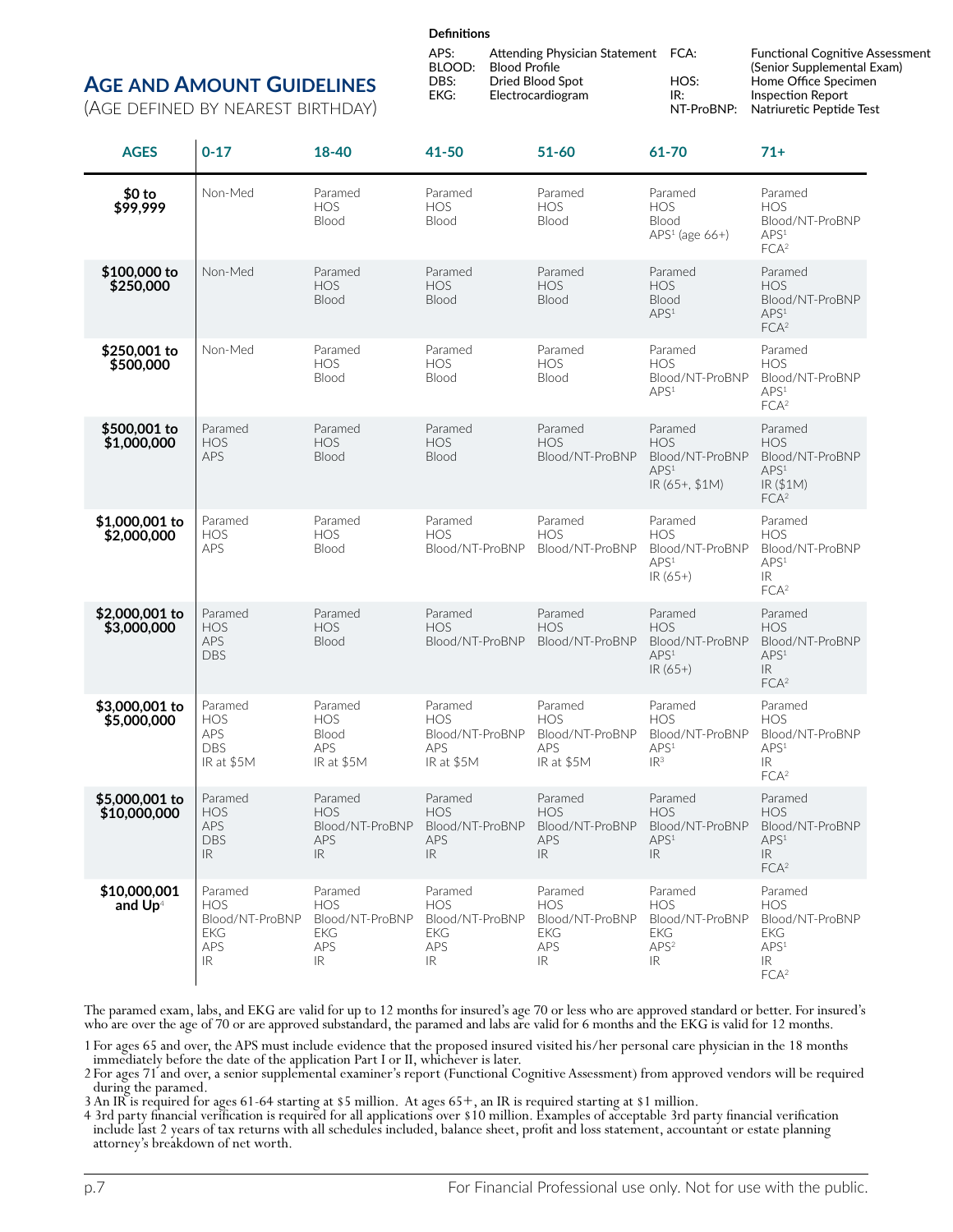#### **Definitions**

#### **Age and Amount Guidelines**

(Age defined by nearest birthday)

| APS:   | Attending Physician Statement FCA: |            | <b>Functional Cognitive Assessment</b> |
|--------|------------------------------------|------------|----------------------------------------|
| BLOOD: | <b>Blood Profile</b>               |            | (Senior Supplemental Exam)             |
| DBS:   | Dried Blood Spot                   | HOS:       | Home Office Specimen                   |
| EKG:   | Electrocardiogram                  | IR:        | Inspection Report                      |
|        |                                    | NT-ProBNP: | Natriuretic Peptide Test               |

| <b>AGES</b>                         | $0 - 17$                                                                                                  | 18-40                                                                | 41-50                                                                | $51 - 60$                                                            | 61-70                                                                           | $71+$                                                                                                 |
|-------------------------------------|-----------------------------------------------------------------------------------------------------------|----------------------------------------------------------------------|----------------------------------------------------------------------|----------------------------------------------------------------------|---------------------------------------------------------------------------------|-------------------------------------------------------------------------------------------------------|
| $$0$ to<br>\$99,999                 | Non-Med                                                                                                   | Paramed<br><b>HOS</b><br>Blood                                       | Paramed<br><b>HOS</b><br>Blood                                       | Paramed<br><b>HOS</b><br>Blood                                       | Paramed<br><b>HOS</b><br>Blood<br>$APS1$ (age 66+)                              | Paramed<br><b>HOS</b><br>Blood/NT-ProBNP<br>APS <sup>1</sup><br>FCA <sup>2</sup>                      |
| \$100,000 to<br>\$250,000           | Non-Med                                                                                                   | Paramed<br><b>HOS</b><br>Blood                                       | Paramed<br><b>HOS</b><br>Blood                                       | Paramed<br><b>HOS</b><br>Blood                                       | Paramed<br><b>HOS</b><br>Blood<br>APS <sup>1</sup>                              | Paramed<br><b>HOS</b><br>Blood/NT-ProBNP<br>APS <sup>1</sup><br>FCA <sup>2</sup>                      |
| \$250,001 to<br>\$500,000           | Non-Med                                                                                                   | Paramed<br><b>HOS</b><br>Blood                                       | Paramed<br>HOS<br>Blood                                              | Paramed<br><b>HOS</b><br>Blood                                       | Paramed<br><b>HOS</b><br>Blood/NT-ProBNP<br>APS <sup>1</sup>                    | Paramed<br><b>HOS</b><br>Blood/NT-ProBNP<br>APS <sup>1</sup><br>FCA <sup>2</sup>                      |
| \$500,001 to<br>\$1,000,000         | Paramed<br><b>HOS</b><br>APS                                                                              | Paramed<br><b>HOS</b><br>Blood                                       | Paramed<br><b>HOS</b><br>Blood                                       | Paramed<br><b>HOS</b><br>Blood/NT-ProBNP                             | Paramed<br><b>HOS</b><br>Blood/NT-ProBNP<br>APS <sup>1</sup><br>IR (65+, \$1M)  | Paramed<br><b>HOS</b><br>Blood/NT-ProBNP<br>APS <sup>1</sup><br>IR(S1M)<br>FCA <sup>2</sup>           |
| \$1,000,001 to<br>\$2,000,000       | Paramed<br><b>HOS</b><br><b>APS</b>                                                                       | Paramed<br><b>HOS</b><br>Blood                                       | Paramed<br><b>HOS</b><br>Blood/NT-ProBNP                             | Paramed<br><b>HOS</b><br>Blood/NT-ProBNP                             | Paramed<br><b>HOS</b><br>Blood/NT-ProBNP<br>APS <sup>1</sup><br>$IR(65+)$       | Paramed<br><b>HOS</b><br>Blood/NT-ProBNP<br>APS <sup>1</sup><br>IR.<br>FCA <sup>2</sup>               |
| \$2,000,001 to<br>\$3,000,000       | Paramed<br><b>HOS</b><br>APS<br><b>DBS</b>                                                                | Paramed<br><b>HOS</b><br>Blood                                       | Paramed<br><b>HOS</b><br>Blood/NT-ProBNP                             | Paramed<br><b>HOS</b><br>Blood/NT-ProBNP                             | Paramed<br><b>HOS</b><br>Blood/NT-ProBNP<br>APS <sup>1</sup><br>IR (65+)        | Paramed<br><b>HOS</b><br>Blood/NT-ProBNP<br>APS <sup>1</sup><br>IR.<br>FCA <sup>2</sup>               |
| \$3,000,001 to<br>\$5,000,000       | Paramed<br><b>HOS</b><br><b>APS</b><br><b>DBS</b><br>IR at \$5M                                           | Paramed<br><b>HOS</b><br>Blood<br><b>APS</b><br>IR at \$5M           | Paramed<br><b>HOS</b><br>Blood/NT-ProBNP<br><b>APS</b><br>IR at \$5M | Paramed<br><b>HOS</b><br>Blood/NT-ProBNP<br><b>APS</b><br>IR at \$5M | Paramed<br><b>HOS</b><br>Blood/NT-ProBNP<br>APS <sup>1</sup><br>IR <sup>3</sup> | Paramed<br><b>HOS</b><br>Blood/NT-ProBNP<br>APS <sup>1</sup><br>IR<br>FCA <sup>2</sup>                |
| \$5,000,001 to<br>\$10,000,000      | Paramed<br><b>HOS</b><br>APS<br>DBS<br>IR                                                                 | Paramed<br><b>HOS</b><br>Blood/NT-ProBNP<br>APS<br>IR                | Paramed<br><b>HOS</b><br>Blood/NT-ProBNP<br>APS<br>IR                | Paramed<br><b>HOS</b><br>Blood/NT-ProBNP<br>APS<br>IR.               | Paramed<br><b>HOS</b><br>Blood/NT-ProBNP<br>APS <sup>1</sup><br>IR              | Paramed<br><b>HOS</b><br>Blood/NT-ProBNP<br>APS <sup>1</sup><br>IR.<br>FCA <sup>2</sup>               |
| \$10,000,001<br>and Up <sup>4</sup> | Paramed<br><b>HOS</b><br>Blood/NT-ProBNP<br><b>EKG</b><br><b>APS</b><br>$\ensuremath{\mathsf{IR}}\xspace$ | Paramed<br><b>HOS</b><br>Blood/NT-ProBNP<br><b>EKG</b><br>APS<br>IR. | Paramed<br><b>HOS</b><br>Blood/NT-ProBNP<br><b>EKG</b><br>APS<br>IR  | Paramed<br><b>HOS</b><br>Blood/NT-ProBNP<br><b>EKG</b><br>APS<br>IR  | Paramed<br>HOS<br>Blood/NT-ProBNP<br><b>EKG</b><br>APS <sup>2</sup><br>IR       | Paramed<br><b>HOS</b><br>Blood/NT-ProBNP<br><b>EKG</b><br>APS <sup>1</sup><br>IR.<br>FCA <sup>2</sup> |

The paramed exam, labs, and EKG are valid for up to 12 months for insured's age 70 or less who are approved standard or better. For insured's who are over the age of 70 or are approved substandard, the paramed and labs are valid for 6 months and the EKG is valid for 12 months.

1 For ages 65 and over, the APS must include evidence that the proposed insured visited his/her personal care physician in the 18 months immediately before the date of the application Part I or II, whichever is later.

2 For ages 71 and over, a senior supplemental examiner's report (Functional Cognitive Assessment) from approved vendors will be required during the paramed.

3 An IR is required for ages 61-64 starting at \$5 million. At ages 65+, an IR is required starting at \$1 million.

4 3rd party financial verification is required for all applications over \$10 million. Examples of acceptable 3rd party financial verification include last 2 years of tax returns with all schedules included, balance sheet, profit and loss statement, accountant or estate planning attorney's breakdown of net worth.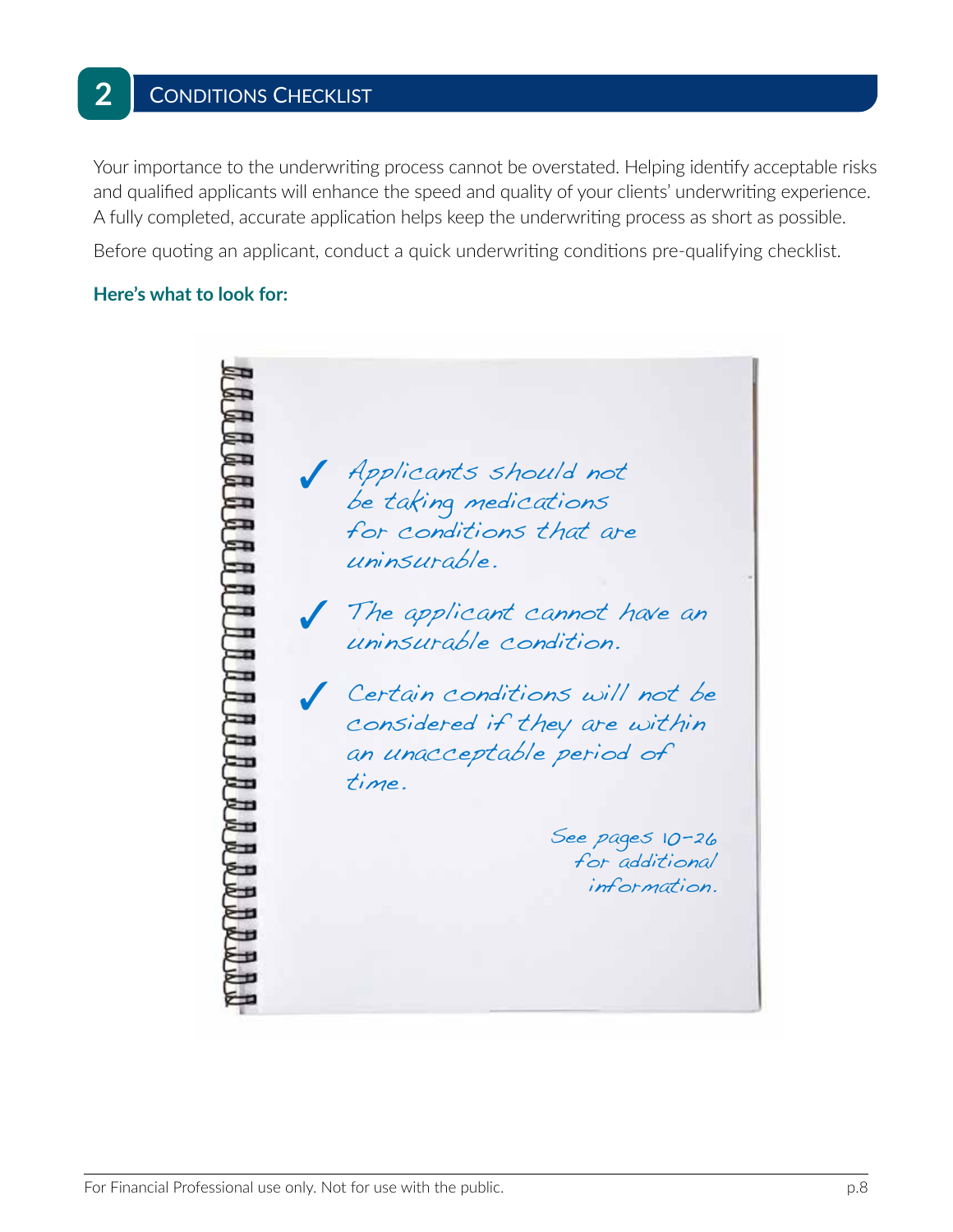# 2 | CONDITIONS CHECKLIST

Your importance to the underwriting process cannot be overstated. Helping identify acceptable risks and qualified applicants will enhance the speed and quality of your clients' underwriting experience. A fully completed, accurate application helps keep the underwriting process as short as possible.

Before quoting an applicant, conduct a quick underwriting conditions pre-qualifying checklist.

#### **Here's what to look for:**

3 Applicants should not be taking medications for conditions that are uninsurable. The applicant cannot have an uninsurable condition. 3 Certain conditions will not be considered if they are within an unacceptable period of time. See pages 10-26 for additional information.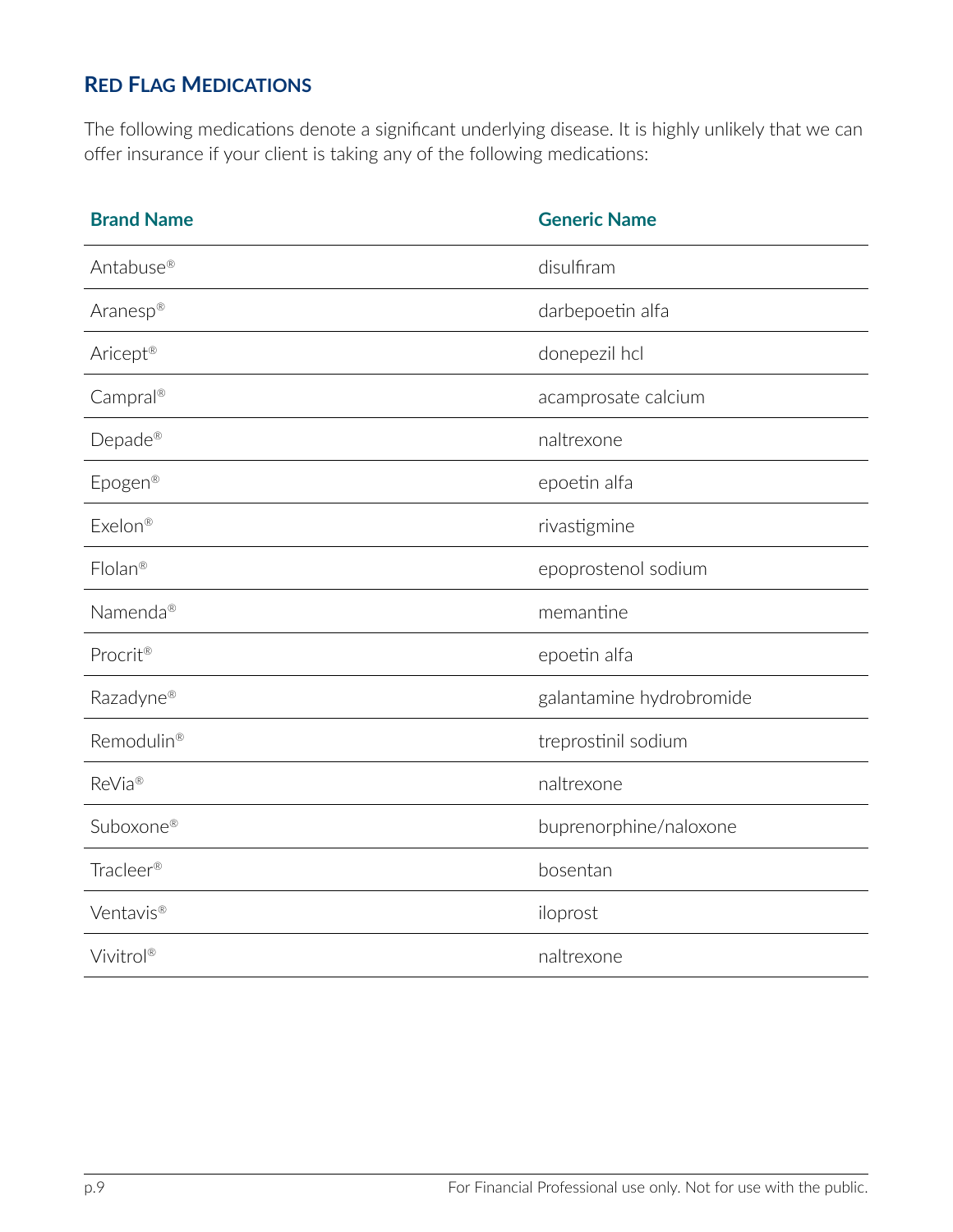# **Red Flag Medications**

The following medications denote a significant underlying disease. It is highly unlikely that we can offer insurance if your client is taking any of the following medications:

| <b>Brand Name</b>      | <b>Generic Name</b>      |
|------------------------|--------------------------|
| Antabuse <sup>®</sup>  | disulfiram               |
| Aranesp®               | darbepoetin alfa         |
| Aricept <sup>®</sup>   | donepezil hcl            |
| Campral®               | acamprosate calcium      |
| Depade <sup>®</sup>    | naltrexone               |
| Epogen <sup>®</sup>    | epoetin alfa             |
| Exelon <sup>®</sup>    | rivastigmine             |
| Flolan <sup>®</sup>    | epoprostenol sodium      |
| Namenda®               | memantine                |
| Procrit®               | epoetin alfa             |
| Razadyne®              | galantamine hydrobromide |
| Remodulin <sup>®</sup> | treprostinil sodium      |
| ReVia <sup>®</sup>     | naltrexone               |
| Suboxone®              | buprenorphine/naloxone   |
| Tracleer <sup>®</sup>  | bosentan                 |
| Ventavis®              | iloprost                 |
| Vivitrol®              | naltrexone               |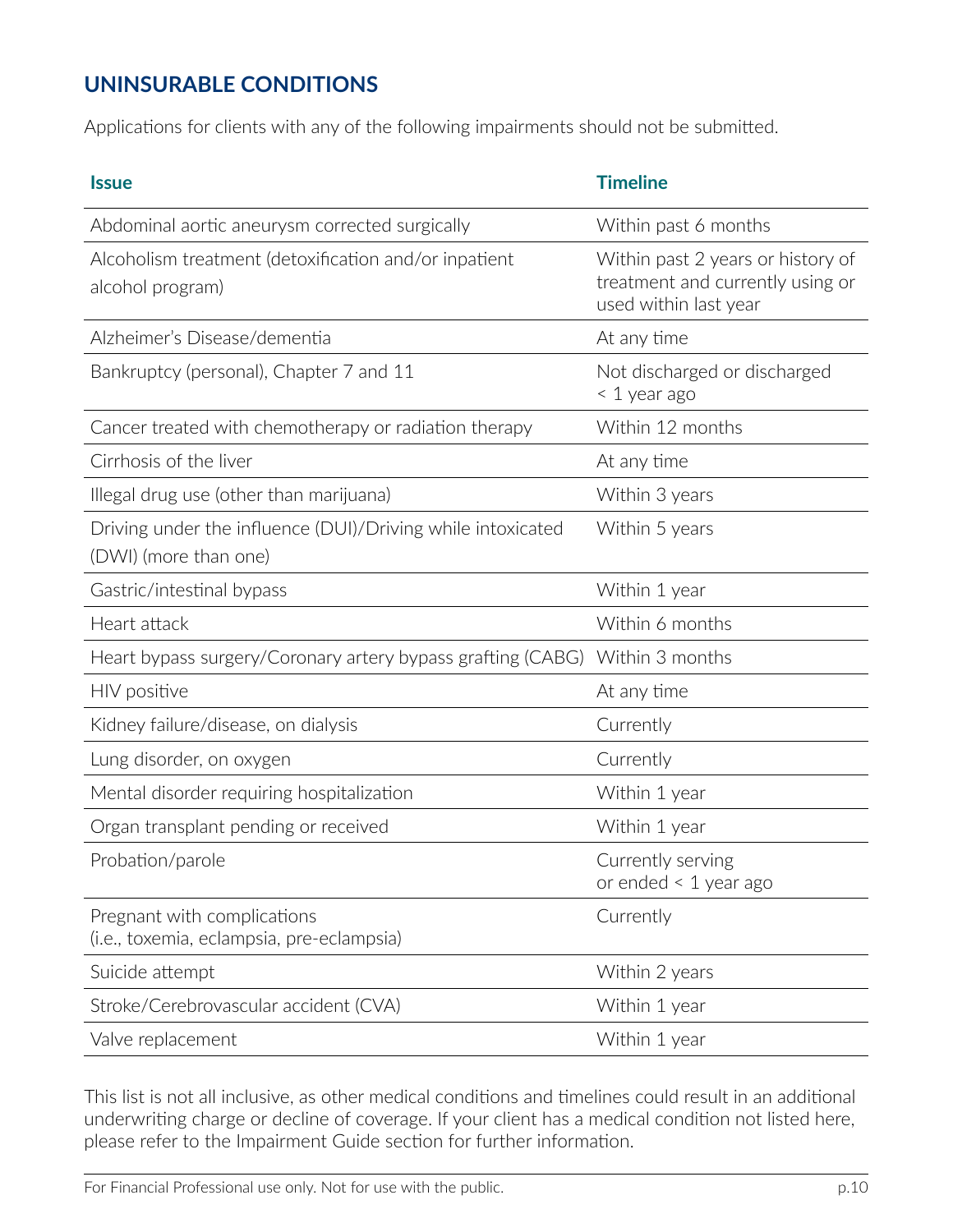# **UNINSURABLE CONDITIONS**

Applications for clients with any of the following impairments should not be submitted.

| <b>Issue</b>                                                                         | <b>Timeline</b>                                                                                |
|--------------------------------------------------------------------------------------|------------------------------------------------------------------------------------------------|
| Abdominal aortic aneurysm corrected surgically                                       | Within past 6 months                                                                           |
| Alcoholism treatment (detoxification and/or inpatient<br>alcohol program)            | Within past 2 years or history of<br>treatment and currently using or<br>used within last year |
| Alzheimer's Disease/dementia                                                         | At any time                                                                                    |
| Bankruptcy (personal), Chapter 7 and 11                                              | Not discharged or discharged<br>< 1 year ago                                                   |
| Cancer treated with chemotherapy or radiation therapy                                | Within 12 months                                                                               |
| Cirrhosis of the liver                                                               | At any time                                                                                    |
| Illegal drug use (other than marijuana)                                              | Within 3 years                                                                                 |
| Driving under the influence (DUI)/Driving while intoxicated<br>(DWI) (more than one) | Within 5 years                                                                                 |
| Gastric/intestinal bypass                                                            | Within 1 year                                                                                  |
| Heart attack                                                                         | Within 6 months                                                                                |
| Heart bypass surgery/Coronary artery bypass grafting (CABG)                          | Within 3 months                                                                                |
| HIV positive                                                                         | At any time                                                                                    |
| Kidney failure/disease, on dialysis                                                  | Currently                                                                                      |
| Lung disorder, on oxygen                                                             | Currently                                                                                      |
| Mental disorder requiring hospitalization                                            | Within 1 year                                                                                  |
| Organ transplant pending or received                                                 | Within 1 year                                                                                  |
| Probation/parole                                                                     | Currently serving<br>or ended $\leq 1$ year ago                                                |
| Pregnant with complications<br>(i.e., toxemia, eclampsia, pre-eclampsia)             | Currently                                                                                      |
| Suicide attempt                                                                      | Within 2 years                                                                                 |
| Stroke/Cerebrovascular accident (CVA)                                                | Within 1 year                                                                                  |
| Valve replacement                                                                    | Within 1 year                                                                                  |

This list is not all inclusive, as other medical conditions and timelines could result in an additional underwriting charge or decline of coverage. If your client has a medical condition not listed here, please refer to the Impairment Guide section for further information.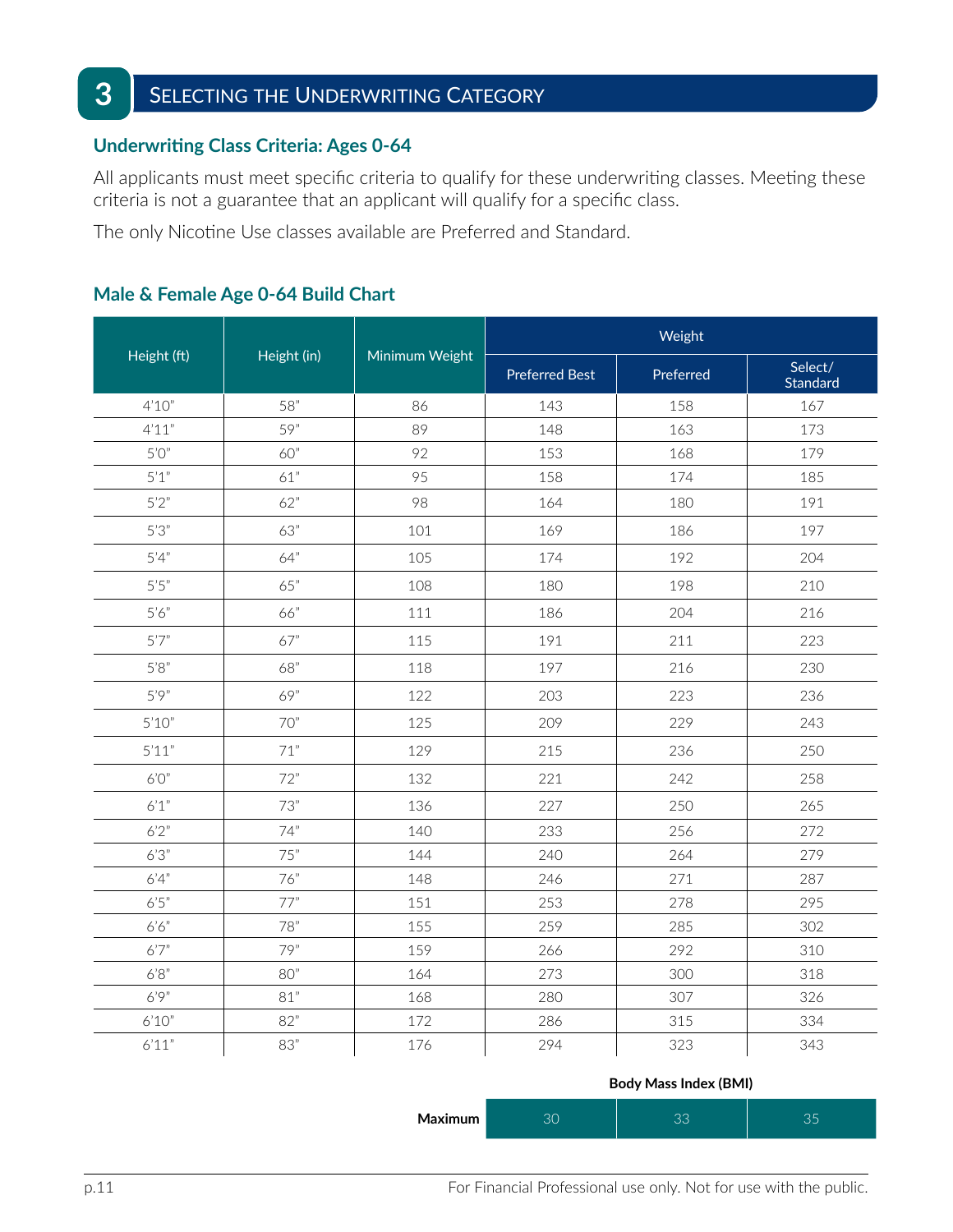# **3** SELECTING THE UNDERWRITING CATEGORY

#### **Underwriting Class Criteria: Ages 0-64**

All applicants must meet specific criteria to qualify for these underwriting classes. Meeting these criteria is not a guarantee that an applicant will qualify for a specific class.

The only Nicotine Use classes available are Preferred and Standard.

|                             |             |                | Weight                |           |                     |
|-----------------------------|-------------|----------------|-----------------------|-----------|---------------------|
| Height (ft)                 | Height (in) | Minimum Weight | <b>Preferred Best</b> | Preferred | Select/<br>Standard |
| 4'10''                      | 58"         | 86             | 143                   | 158       | 167                 |
| 4'11"                       | 59"         | 89             | 148                   | 163       | 173                 |
| 5'0''                       | 60"         | 92             | 153                   | 168       | 179                 |
| 5'1"                        | 61"         | 95             | 158                   | 174       | 185                 |
| 5'2"                        | 62"         | 98             | 164                   | 180       | 191                 |
| 5'3''                       | 63"         | 101            | 169                   | 186       | 197                 |
| 5'4''                       | 64"         | 105            | 174                   | 192       | 204                 |
| $5^\prime 5^{\prime\prime}$ | 65"         | 108            | 180                   | 198       | 210                 |
| 5'6''                       | 66"         | 111            | 186                   | 204       | 216                 |
| 5'7''                       | 67"         | 115            | 191                   | 211       | 223                 |
| 5'8''                       | 68"         | 118            | 197                   | 216       | 230                 |
| 5'9''                       | 69"         | 122            | 203                   | 223       | 236                 |
| $5'10''$                    | 70"         | 125            | 209                   | 229       | 243                 |
| 5'11"                       | 71"         | 129            | 215                   | 236       | 250                 |
| 6'0''                       | 72"         | 132            | 221                   | 242       | 258                 |
| 6'1''                       | 73"         | 136            | 227                   | 250       | 265                 |
| $6'2"$                      | 74"         | 140            | 233                   | 256       | 272                 |
| 6'3''                       | 75"         | 144            | 240                   | 264       | 279                 |
| 6'4''                       | 76"         | 148            | 246                   | 271       | 287                 |
| $6'5"$                      | 77"         | 151            | 253                   | 278       | 295                 |
| 6'6''                       | 78"         | 155            | 259                   | 285       | 302                 |
| 6'7''                       | 79"         | 159            | 266                   | 292       | 310                 |
| $6'8"$                      | 80"         | 164            | 273                   | 300       | 318                 |
| 6'9''                       | 81"         | 168            | 280                   | 307       | 326                 |
| $6'10"$                     | 82"         | 172            | 286                   | 315       | 334                 |
| 6'11"                       | 83"         | 176            | 294                   | 323       | 343                 |

## **Male & Female Age 0-64 Build Chart**

|  | <b>Body Mass Index (BMI)</b> |  |
|--|------------------------------|--|
|  |                              |  |

| Maximum | $\cap$ | $\cap$ | $\sim$ $-$ |
|---------|--------|--------|------------|
|---------|--------|--------|------------|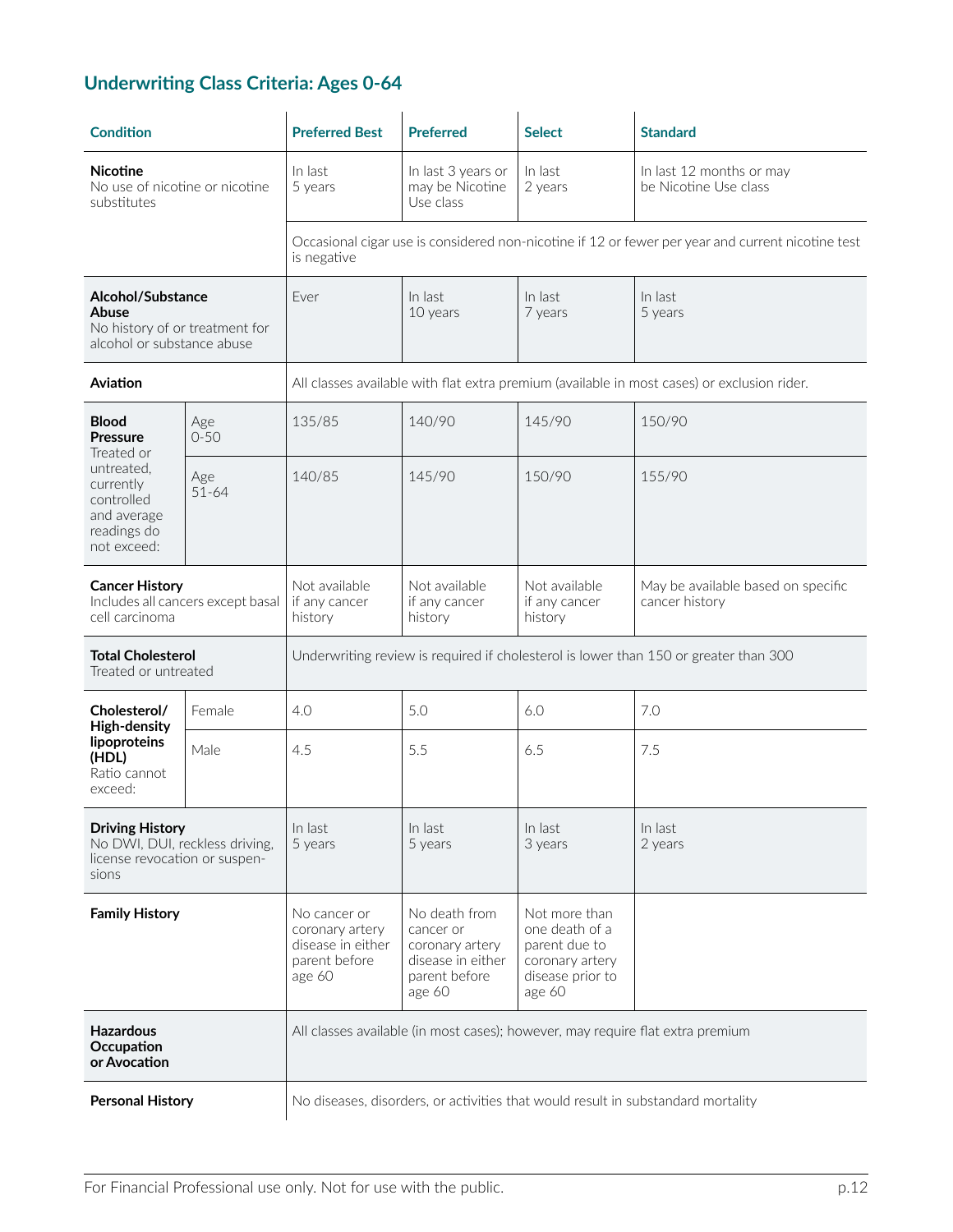# **Underwriting Class Criteria: Ages 0-64**

| <b>Condition</b>                                                                                   |                  | <b>Preferred Best</b>                                                                | <b>Preferred</b>                                                                                  | <b>Select</b>                                                                                     | <b>Standard</b>                                                                             |  |  |
|----------------------------------------------------------------------------------------------------|------------------|--------------------------------------------------------------------------------------|---------------------------------------------------------------------------------------------------|---------------------------------------------------------------------------------------------------|---------------------------------------------------------------------------------------------|--|--|
| <b>Nicotine</b><br>No use of nicotine or nicotine<br>substitutes                                   |                  | In last<br>5 years                                                                   | In last 3 years or<br>may be Nicotine<br>Use class                                                | In last<br>2 years                                                                                | In last 12 months or may<br>be Nicotine Use class                                           |  |  |
|                                                                                                    |                  | is negative                                                                          | Occasional cigar use is considered non-nicotine if 12 or fewer per year and current nicotine test |                                                                                                   |                                                                                             |  |  |
| Alcohol/Substance<br>Abuse<br>No history of or treatment for<br>alcohol or substance abuse         |                  | Ever                                                                                 | In last<br>10 years                                                                               | In last<br>7 years                                                                                | In last<br>5 years                                                                          |  |  |
| Aviation                                                                                           |                  |                                                                                      |                                                                                                   |                                                                                                   | All classes available with flat extra premium (available in most cases) or exclusion rider. |  |  |
| <b>Blood</b><br>Pressure<br>Treated or                                                             | Age<br>$0 - 50$  | 135/85                                                                               | 140/90                                                                                            | 145/90                                                                                            | 150/90                                                                                      |  |  |
| untreated.<br>currently<br>controlled<br>and average<br>readings do<br>not exceed:                 | Age<br>$51 - 64$ | 140/85                                                                               | 145/90                                                                                            | 150/90                                                                                            | 155/90                                                                                      |  |  |
| <b>Cancer History</b><br>Includes all cancers except basal<br>cell carcinoma                       |                  | Not available<br>if any cancer<br>history                                            | Not available<br>if any cancer<br>history                                                         | Not available<br>if any cancer<br>history                                                         | May be available based on specific<br>cancer history                                        |  |  |
| <b>Total Cholesterol</b><br>Treated or untreated                                                   |                  | Underwriting review is required if cholesterol is lower than 150 or greater than 300 |                                                                                                   |                                                                                                   |                                                                                             |  |  |
| Cholesterol/<br>High-density                                                                       | Female           | 4.0                                                                                  | 5.0                                                                                               | 6.0                                                                                               | 7.0                                                                                         |  |  |
| lipoproteins<br>(HDL)<br>Ratio cannot<br>exceed:                                                   | Male             | 4.5                                                                                  | 5.5                                                                                               | 6.5                                                                                               | 7.5                                                                                         |  |  |
| <b>Driving History</b><br>No DWI, DUI, reckless driving,<br>license revocation or suspen-<br>sions |                  | In last<br>5 years                                                                   | In last<br>5 years                                                                                | In last<br>3 years                                                                                | In last<br>2 years                                                                          |  |  |
| <b>Family History</b>                                                                              |                  | No cancer or<br>coronary artery<br>disease in either<br>parent before<br>age 60      | No death from<br>cancer or<br>coronary artery<br>disease in either<br>parent before<br>age 60     | Not more than<br>one death of a<br>parent due to<br>coronary artery<br>disease prior to<br>age 60 |                                                                                             |  |  |
| <b>Hazardous</b><br>Occupation<br>or Avocation                                                     |                  | All classes available (in most cases); however, may require flat extra premium       |                                                                                                   |                                                                                                   |                                                                                             |  |  |
| <b>Personal History</b>                                                                            |                  | No diseases, disorders, or activities that would result in substandard mortality     |                                                                                                   |                                                                                                   |                                                                                             |  |  |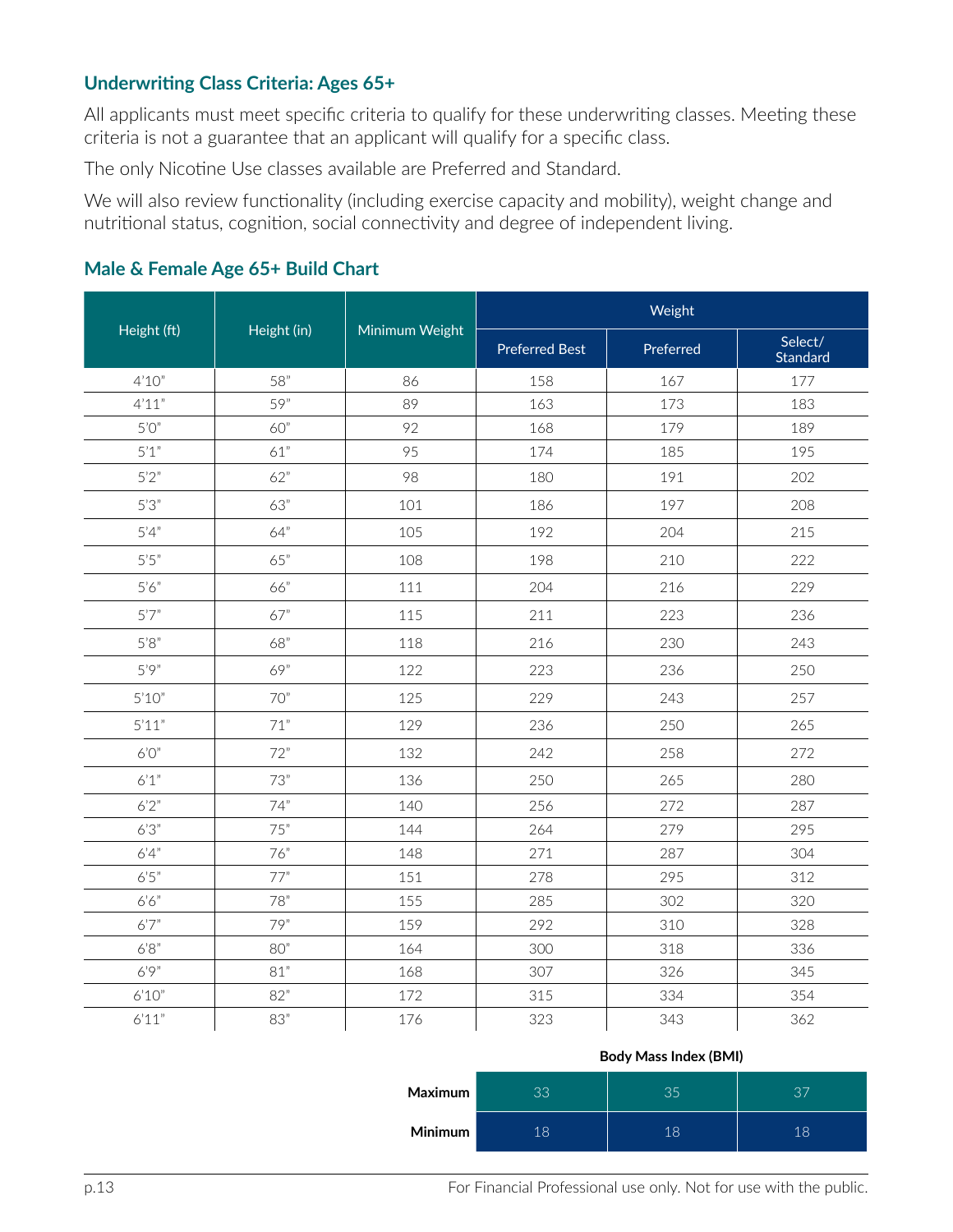## **Underwriting Class Criteria: Ages 65+**

All applicants must meet specific criteria to qualify for these underwriting classes. Meeting these criteria is not a guarantee that an applicant will qualify for a specific class.

The only Nicotine Use classes available are Preferred and Standard.

We will also review functionality (including exercise capacity and mobility), weight change and nutritional status, cognition, social connectivity and degree of independent living.

|             |             |                | Weight                |           |                     |  |
|-------------|-------------|----------------|-----------------------|-----------|---------------------|--|
| Height (ft) | Height (in) | Minimum Weight | <b>Preferred Best</b> | Preferred | Select/<br>Standard |  |
| 4'10''      | 58"         | 86             | 158                   | 167       | 177                 |  |
| 4'11"       | 59"         | 89             | 163                   | 173       | 183                 |  |
| 5'0''       | 60"         | 92             | 168                   | 179       | 189                 |  |
| 5'1"        | 61"         | 95             | 174                   | 185       | 195                 |  |
| 5'2"        | 62"         | 98             | 180                   | 191       | 202                 |  |
| 5'3''       | 63"         | 101            | 186                   | 197       | 208                 |  |
| 5'4''       | 64"         | 105            | 192                   | 204       | 215                 |  |
| 5'5''       | 65"         | 108            | 198                   | 210       | 222                 |  |
| 5'6''       | 66"         | 111            | 204                   | 216       | 229                 |  |
| 5'7''       | 67"         | 115            | 211                   | 223       | 236                 |  |
| 5'8''       | 68"         | 118            | 216                   | 230       | 243                 |  |
| 5'9''       | 69"         | 122            | 223                   | 236       | 250                 |  |
| 5'10''      | 70"         | 125            | 229                   | 243       | 257                 |  |
| 5'11"       | 71"         | 129            | 236                   | 250       | 265                 |  |
| 6'0''       | 72"         | 132            | 242                   | 258       | 272                 |  |
| 6'1''       | 73"         | 136            | 250                   | 265       | 280                 |  |
| 6'2''       | 74"         | 140            | 256                   | 272       | 287                 |  |
| 6'3''       | 75"         | 144            | 264                   | 279       | 295                 |  |
| 6'4''       | 76"         | 148            | 271                   | 287       | 304                 |  |
| 6'5''       | 77"         | 151            | 278                   | 295       | 312                 |  |
| 6'6''       | 78"         | 155            | 285                   | 302       | 320                 |  |
| 6'7''       | 79"         | 159            | 292                   | 310       | 328                 |  |
| $6'8"$      | 80"         | 164            | 300                   | 318       | 336                 |  |
| 6'9''       | 81"         | 168            | 307                   | 326       | 345                 |  |
| 6'10''      | 82"         | 172            | 315                   | 334       | 354                 |  |
| 6'11"       | 83"         | 176            | 323                   | 343       | 362                 |  |

## **Male & Female Age 65+ Build Chart**

| <b>Body Mass Index (BMI)</b> |  |  |
|------------------------------|--|--|
|------------------------------|--|--|

| <b>Maximum</b> | 33  | 35 | $\cap \overline{\phantom{m}}$ |
|----------------|-----|----|-------------------------------|
| <b>Minimum</b> | 1 Q | 18 | 18                            |

p.13 **For Financial Professional use only.** Not for use with the public.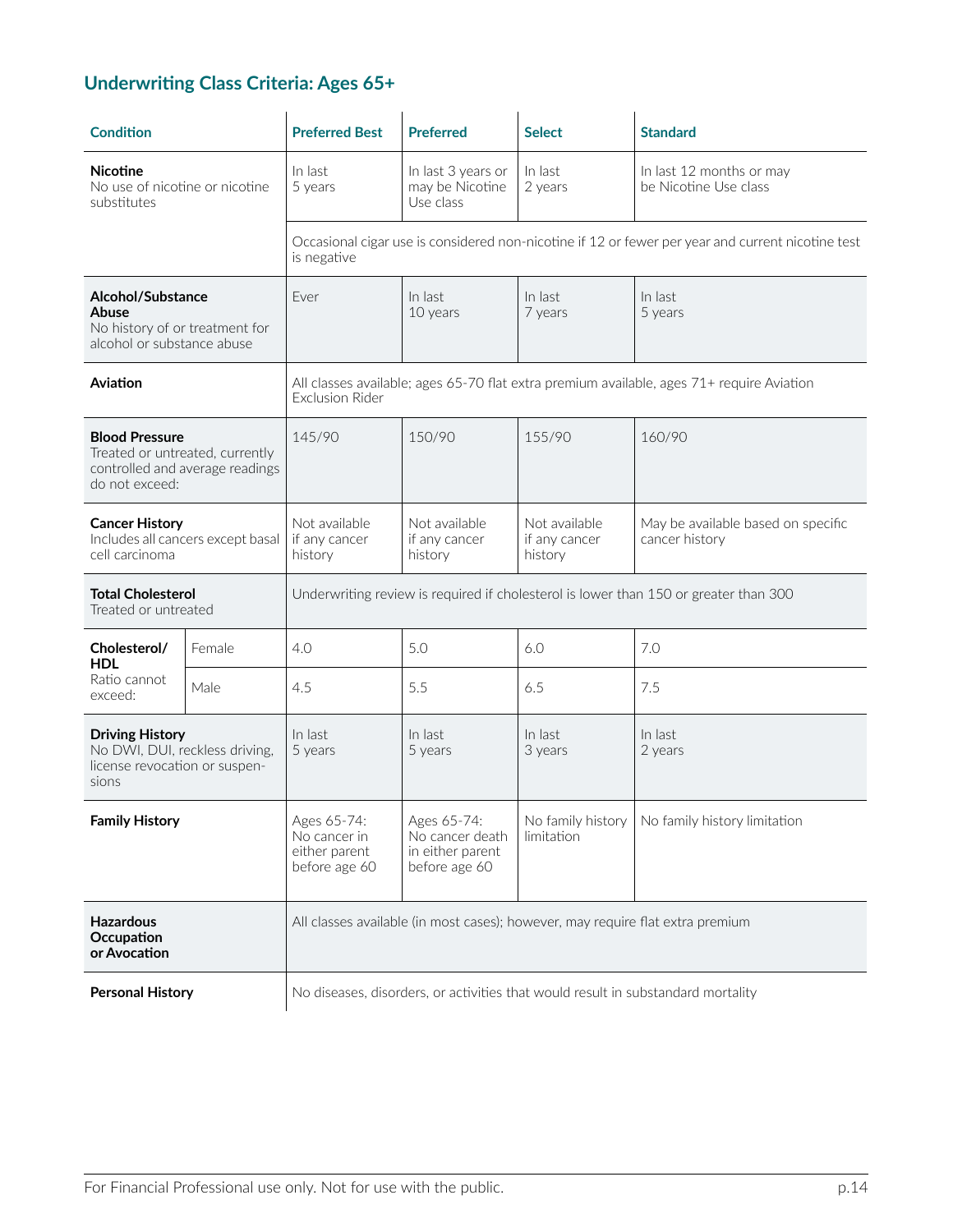# **Underwriting Class Criteria: Ages 65+**

| <b>Condition</b>                                                                                              |        | <b>Preferred Best</b>                                                                | <b>Preferred</b>                                                    | <b>Select</b>                             | <b>Standard</b>                                                                                   |  |
|---------------------------------------------------------------------------------------------------------------|--------|--------------------------------------------------------------------------------------|---------------------------------------------------------------------|-------------------------------------------|---------------------------------------------------------------------------------------------------|--|
| <b>Nicotine</b><br>No use of nicotine or nicotine<br>substitutes                                              |        | In last<br>5 years                                                                   | In last 3 years or<br>may be Nicotine<br>Use class                  | In last<br>2 years                        | In last 12 months or may<br>be Nicotine Use class                                                 |  |
|                                                                                                               |        | is negative                                                                          |                                                                     |                                           | Occasional cigar use is considered non-nicotine if 12 or fewer per year and current nicotine test |  |
| Alcohol/Substance<br>Abuse<br>No history of or treatment for<br>alcohol or substance abuse                    |        | Ever                                                                                 | In last<br>10 years                                                 | In last<br>7 years                        | In last<br>5 years                                                                                |  |
| Aviation                                                                                                      |        | <b>Exclusion Rider</b>                                                               |                                                                     |                                           | All classes available; ages 65-70 flat extra premium available, ages 71+ require Aviation         |  |
| <b>Blood Pressure</b><br>Treated or untreated, currently<br>controlled and average readings<br>do not exceed: |        | 145/90                                                                               | 150/90                                                              | 155/90                                    | 160/90                                                                                            |  |
| <b>Cancer History</b><br>Includes all cancers except basal<br>cell carcinoma                                  |        | Not available<br>if any cancer<br>history                                            | Not available<br>if any cancer<br>history                           | Not available<br>if any cancer<br>history | May be available based on specific<br>cancer history                                              |  |
| <b>Total Cholesterol</b><br>Treated or untreated                                                              |        | Underwriting review is required if cholesterol is lower than 150 or greater than 300 |                                                                     |                                           |                                                                                                   |  |
| Cholesterol/<br><b>HDL</b>                                                                                    | Female | 4.0                                                                                  | 5.0                                                                 | 6.0                                       | 7.0                                                                                               |  |
| Ratio cannot<br>exceed:                                                                                       | Male   | 4.5                                                                                  | 5.5                                                                 | 6.5                                       | 7.5                                                                                               |  |
| <b>Driving History</b><br>No DWI, DUI, reckless driving,<br>license revocation or suspen-<br>sions            |        | In last<br>5 years                                                                   | In last<br>5 years                                                  | In last<br>3 years                        | In last<br>2 years                                                                                |  |
| <b>Family History</b>                                                                                         |        | Ages 65-74:<br>No cancer in<br>either parent<br>before age 60                        | Ages 65-74:<br>No cancer death<br>in either parent<br>before age 60 | No family history<br>limitation           | No family history limitation                                                                      |  |
| <b>Hazardous</b><br>Occupation<br>or Avocation                                                                |        | All classes available (in most cases); however, may require flat extra premium       |                                                                     |                                           |                                                                                                   |  |
| <b>Personal History</b>                                                                                       |        | No diseases, disorders, or activities that would result in substandard mortality     |                                                                     |                                           |                                                                                                   |  |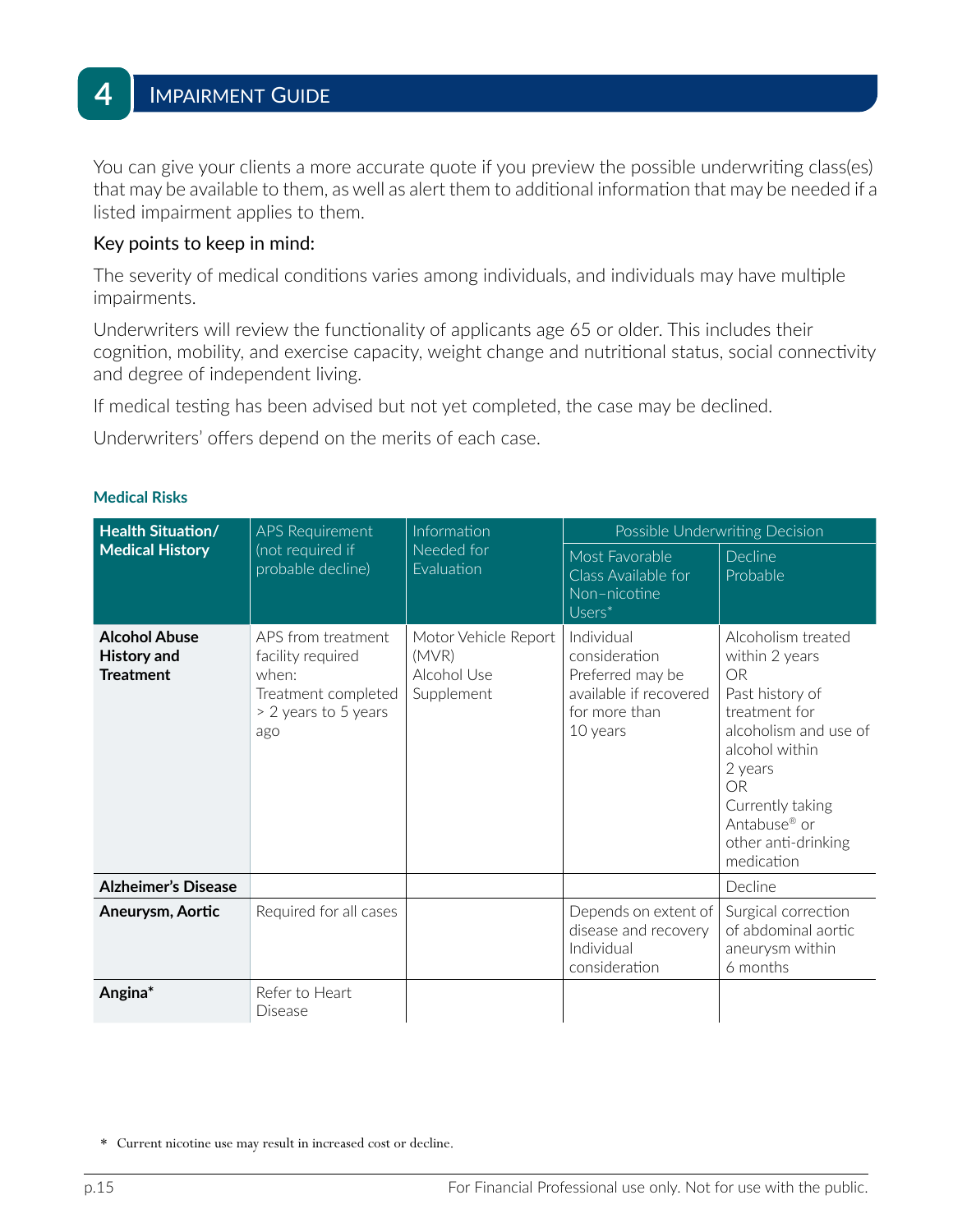You can give your clients a more accurate quote if you preview the possible underwriting class(es) that may be available to them, as well as alert them to additional information that may be needed if a listed impairment applies to them.

#### Key points to keep in mind:

The severity of medical conditions varies among individuals, and individuals may have multiple impairments.

Underwriters will review the functionality of applicants age 65 or older. This includes their cognition, mobility, and exercise capacity, weight change and nutritional status, social connectivity and degree of independent living.

If medical testing has been advised but not yet completed, the case may be declined.

Underwriters' offers depend on the merits of each case.

| <b>Health Situation/</b>                                       | <b>APS Requirement</b>                                                                                 | Information<br>Needed for<br>Evaluation                    |                                                                                                        | Possible Underwriting Decision                                                                                                                                                                                                                |
|----------------------------------------------------------------|--------------------------------------------------------------------------------------------------------|------------------------------------------------------------|--------------------------------------------------------------------------------------------------------|-----------------------------------------------------------------------------------------------------------------------------------------------------------------------------------------------------------------------------------------------|
| <b>Medical History</b>                                         | (not required if<br>probable decline)                                                                  |                                                            | Most Favorable<br>Class Available for<br>Non-nicotine<br>$Users^*$                                     | Decline<br>Probable                                                                                                                                                                                                                           |
| <b>Alcohol Abuse</b><br><b>History and</b><br><b>Treatment</b> | APS from treatment<br>facility required<br>when:<br>Treatment completed<br>> 2 years to 5 years<br>ago | Motor Vehicle Report<br>(MVR)<br>Alcohol Use<br>Supplement | Individual<br>consideration<br>Preferred may be<br>available if recovered<br>for more than<br>10 years | Alcoholism treated<br>within 2 years<br><b>OR</b><br>Past history of<br>treatment for<br>alcoholism and use of<br>alcohol within<br>2 years<br><b>OR</b><br>Currently taking<br>Antabuse <sup>®</sup> or<br>other anti-drinking<br>medication |
| <b>Alzheimer's Disease</b>                                     |                                                                                                        |                                                            |                                                                                                        | Decline                                                                                                                                                                                                                                       |
| Aneurysm, Aortic                                               | Required for all cases                                                                                 |                                                            | Depends on extent of<br>disease and recovery<br>Individual<br>consideration                            | Surgical correction<br>of abdominal aortic<br>aneurysm within<br>6 months                                                                                                                                                                     |
| Angina*                                                        | Refer to Heart<br>Disease                                                                              |                                                            |                                                                                                        |                                                                                                                                                                                                                                               |

#### **Medical Risks**

<sup>\*</sup> Current nicotine use may result in increased cost or decline.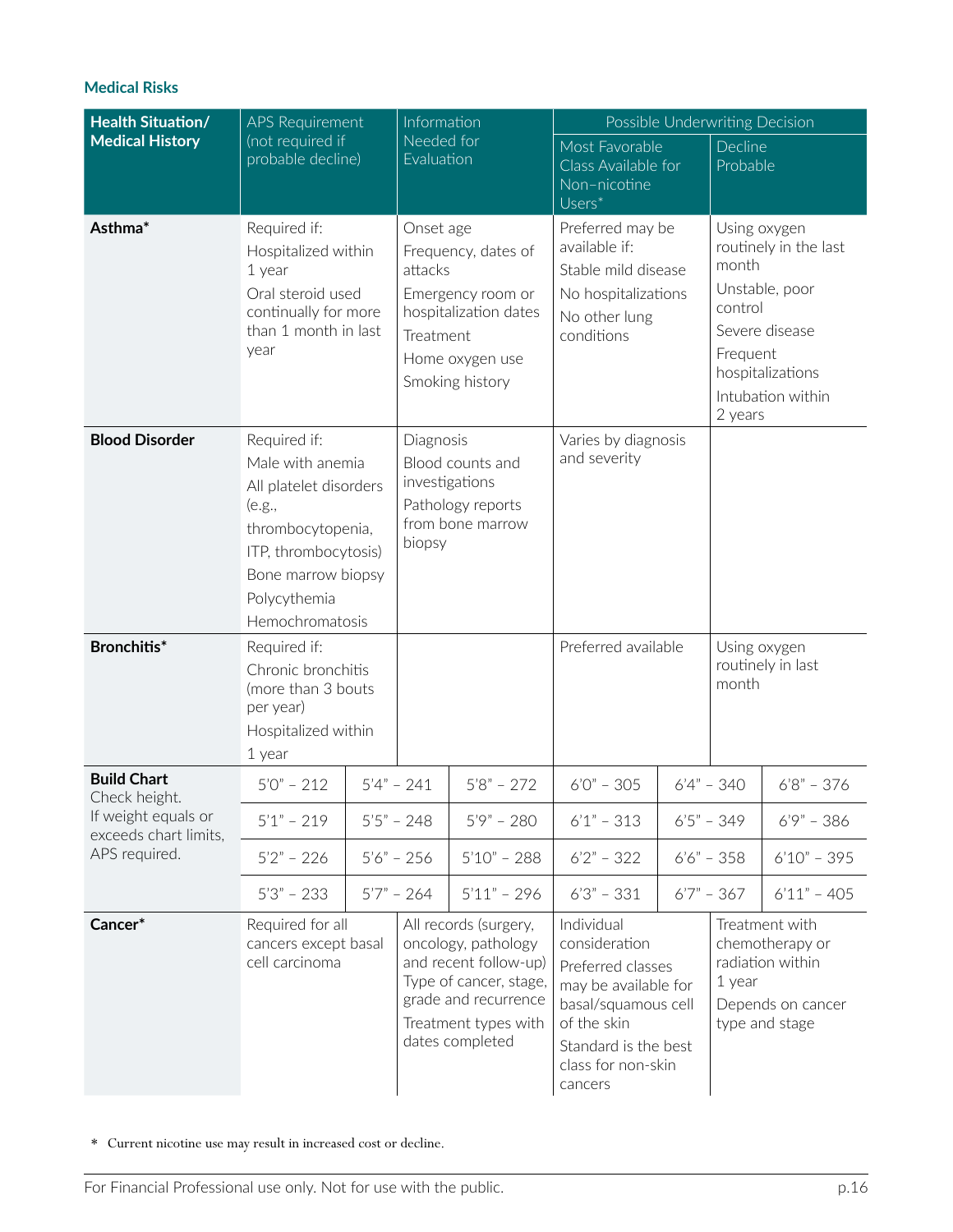| <b>Health Situation/</b>                     | APS Requirement                                                                                                                                                            | Information                           |                                                                                                                                                                    | Possible Underwriting Decision                                                                                                                                          |  |                                                         |                                                                                                    |
|----------------------------------------------|----------------------------------------------------------------------------------------------------------------------------------------------------------------------------|---------------------------------------|--------------------------------------------------------------------------------------------------------------------------------------------------------------------|-------------------------------------------------------------------------------------------------------------------------------------------------------------------------|--|---------------------------------------------------------|----------------------------------------------------------------------------------------------------|
| <b>Medical History</b>                       | (not required if<br>probable decline)                                                                                                                                      | Needed for<br>Evaluation              |                                                                                                                                                                    | Most Favorable<br>Class Available for<br>Non-nicotine<br>$Users^*$                                                                                                      |  | Decline<br>Probable                                     |                                                                                                    |
| Asthma*                                      | Required if:<br>Hospitalized within<br>1 year<br>Oral steroid used<br>continually for more<br>than 1 month in last<br>year                                                 | Onset age<br>attacks<br>Treatment     | Frequency, dates of<br>Emergency room or<br>hospitalization dates<br>Home oxygen use<br>Smoking history                                                            | Preferred may be<br>available if:<br>Stable mild disease<br>No hospitalizations<br>No other lung<br>conditions                                                          |  | Using oxygen<br>month<br>control<br>Frequent<br>2 years | routinely in the last<br>Unstable, poor<br>Severe disease<br>hospitalizations<br>Intubation within |
| <b>Blood Disorder</b>                        | Required if:<br>Male with anemia<br>All platelet disorders<br>(e.g.,<br>thrombocytopenia,<br>ITP, thrombocytosis)<br>Bone marrow biopsy<br>Polycythemia<br>Hemochromatosis | Diagnosis<br>investigations<br>biopsy | Blood counts and<br>Pathology reports<br>from bone marrow                                                                                                          | Varies by diagnosis<br>and severity                                                                                                                                     |  |                                                         |                                                                                                    |
| Bronchitis*                                  | Required if:<br>Chronic bronchitis<br>(more than 3 bouts<br>per year)<br>Hospitalized within<br>1 year                                                                     |                                       |                                                                                                                                                                    | Preferred available                                                                                                                                                     |  | Using oxygen<br>month                                   | routinely in last                                                                                  |
| <b>Build Chart</b><br>Check height.          | $5'0'' - 212$                                                                                                                                                              | $5'4" - 241$                          | $5'8" - 272$                                                                                                                                                       | $6'0'' - 305$                                                                                                                                                           |  | $6'4" - 340$                                            | $6'8" - 376$                                                                                       |
| If weight equals or<br>exceeds chart limits, | $5'1" - 219$                                                                                                                                                               | $5'5" - 248$                          | $5'9'' - 280$                                                                                                                                                      | $6'1" - 313$                                                                                                                                                            |  | $6'5'' - 349$                                           | $6'9'' - 386$                                                                                      |
| APS required.                                | $5'2" - 226$                                                                                                                                                               | $5'6'' - 256$                         | $5'10" - 288$                                                                                                                                                      | $6'2" - 322$                                                                                                                                                            |  | $6'6'' - 358$                                           | $6'10" - 395$                                                                                      |
|                                              | $5'3'' - 233$                                                                                                                                                              | $5'7" - 264$                          | $5'11" - 296$                                                                                                                                                      | $6'3'' - 331$                                                                                                                                                           |  | $6'7'' - 367$                                           | $6'11" - 405$                                                                                      |
| Cancer*                                      | Required for all<br>cancers except basal<br>cell carcinoma                                                                                                                 |                                       | All records (surgery,<br>oncology, pathology<br>and recent follow-up)<br>Type of cancer, stage,<br>grade and recurrence<br>Treatment types with<br>dates completed | Individual<br>consideration<br>Preferred classes<br>may be available for<br>basal/squamous cell<br>of the skin<br>Standard is the best<br>class for non-skin<br>cancers |  | 1 year                                                  | Treatment with<br>chemotherapy or<br>radiation within<br>Depends on cancer<br>type and stage       |

\* Current nicotine use may result in increased cost or decline.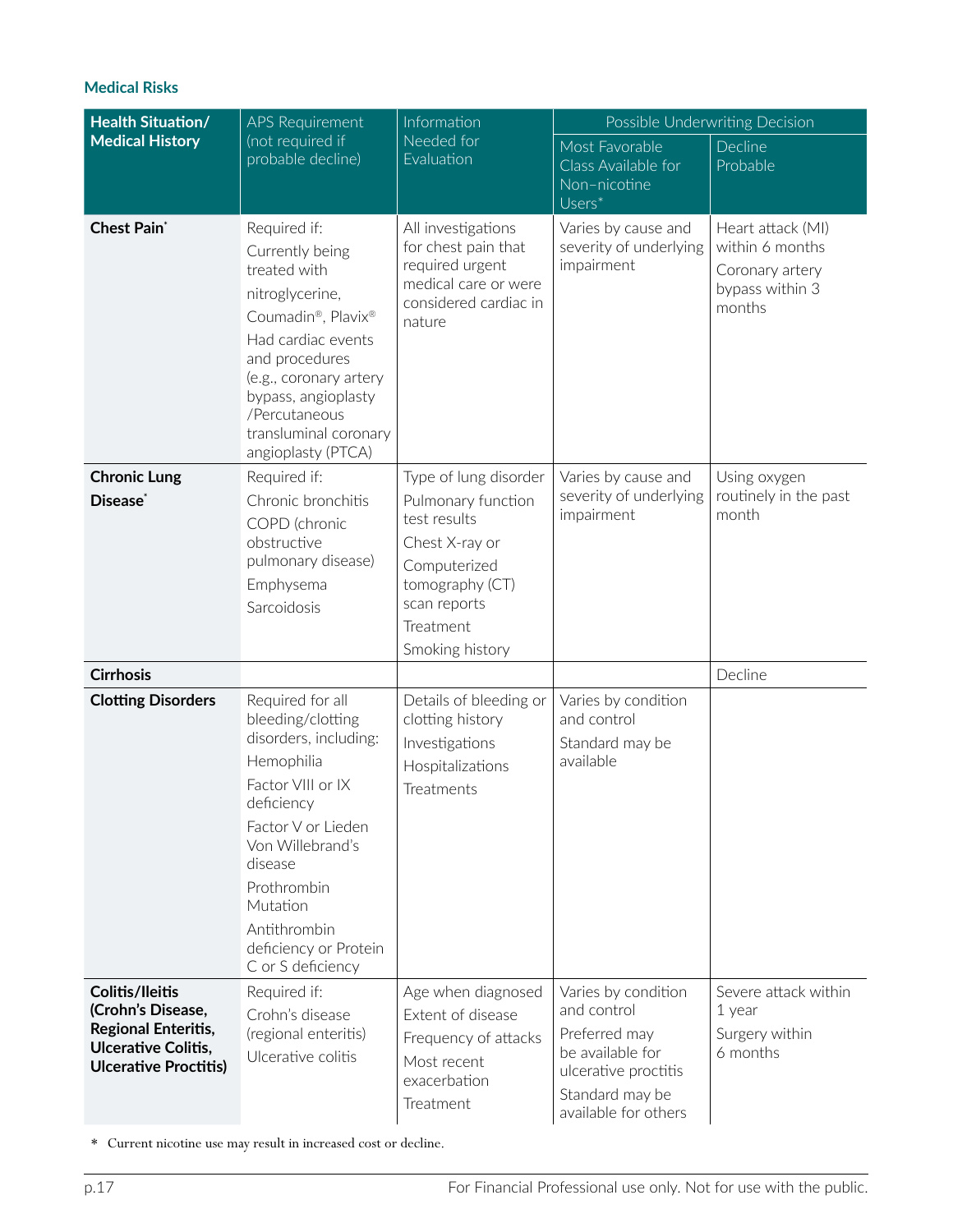| <b>Health Situation/</b>                                                                                                                | <b>APS Requirement</b>                                                                                                                                                                                                                                        | Information                                                                                                                                                      | Possible Underwriting Decision                                                                                                             |                                                                                      |  |
|-----------------------------------------------------------------------------------------------------------------------------------------|---------------------------------------------------------------------------------------------------------------------------------------------------------------------------------------------------------------------------------------------------------------|------------------------------------------------------------------------------------------------------------------------------------------------------------------|--------------------------------------------------------------------------------------------------------------------------------------------|--------------------------------------------------------------------------------------|--|
| <b>Medical History</b>                                                                                                                  | (not required if<br>probable decline)                                                                                                                                                                                                                         | Needed for<br>Evaluation                                                                                                                                         | Most Favorable<br>Class Available for<br>Non-nicotine<br>$\overline{Users^*}$                                                              | Decline<br>Probable                                                                  |  |
| <b>Chest Pain</b> *                                                                                                                     | Required if:<br>Currently being<br>treated with<br>nitroglycerine,<br>Coumadin®, Plavix®<br>Had cardiac events<br>and procedures<br>(e.g., coronary artery<br>bypass, angioplasty<br>/Percutaneous<br>transluminal coronary<br>angioplasty (PTCA)             | All investigations<br>for chest pain that<br>required urgent<br>medical care or were<br>considered cardiac in<br>nature                                          | Varies by cause and<br>severity of underlying<br>impairment                                                                                | Heart attack (MI)<br>within 6 months<br>Coronary artery<br>bypass within 3<br>months |  |
| <b>Chronic Lung</b><br>Disease <sup>®</sup>                                                                                             | Required if:<br>Chronic bronchitis<br>COPD (chronic<br>obstructive<br>pulmonary disease)<br>Emphysema<br>Sarcoidosis                                                                                                                                          | Type of lung disorder<br>Pulmonary function<br>test results<br>Chest X-ray or<br>Computerized<br>tomography (CT)<br>scan reports<br>Treatment<br>Smoking history | Varies by cause and<br>severity of underlying<br>impairment                                                                                | Using oxygen<br>routinely in the past<br>month                                       |  |
| <b>Cirrhosis</b>                                                                                                                        |                                                                                                                                                                                                                                                               |                                                                                                                                                                  |                                                                                                                                            | Decline                                                                              |  |
| <b>Clotting Disorders</b>                                                                                                               | Required for all<br>bleeding/clotting<br>disorders, including:<br>Hemophilia<br>Factor VIII or IX<br>deficiency<br>Factor V or Lieden<br>Von Willebrand's<br>disease<br>Prothrombin<br>Mutation<br>Antithrombin<br>deficiency or Protein<br>C or S deficiency | Details of bleeding or<br>clotting history<br>Investigations<br>Hospitalizations<br>Treatments                                                                   | Varies by condition<br>and control<br>Standard may be<br>available                                                                         |                                                                                      |  |
| <b>Colitis/Ileitis</b><br>(Crohn's Disease,<br><b>Regional Enteritis,</b><br><b>Ulcerative Colitis,</b><br><b>Ulcerative Proctitis)</b> | Required if:<br>Crohn's disease<br>(regional enteritis)<br>Ulcerative colitis                                                                                                                                                                                 | Age when diagnosed<br>Extent of disease<br>Frequency of attacks<br>Most recent<br>exacerbation<br>Treatment                                                      | Varies by condition<br>and control<br>Preferred may<br>be available for<br>ulcerative proctitis<br>Standard may be<br>available for others | Severe attack within<br>1 year<br>Surgery within<br>6 months                         |  |

\* Current nicotine use may result in increased cost or decline.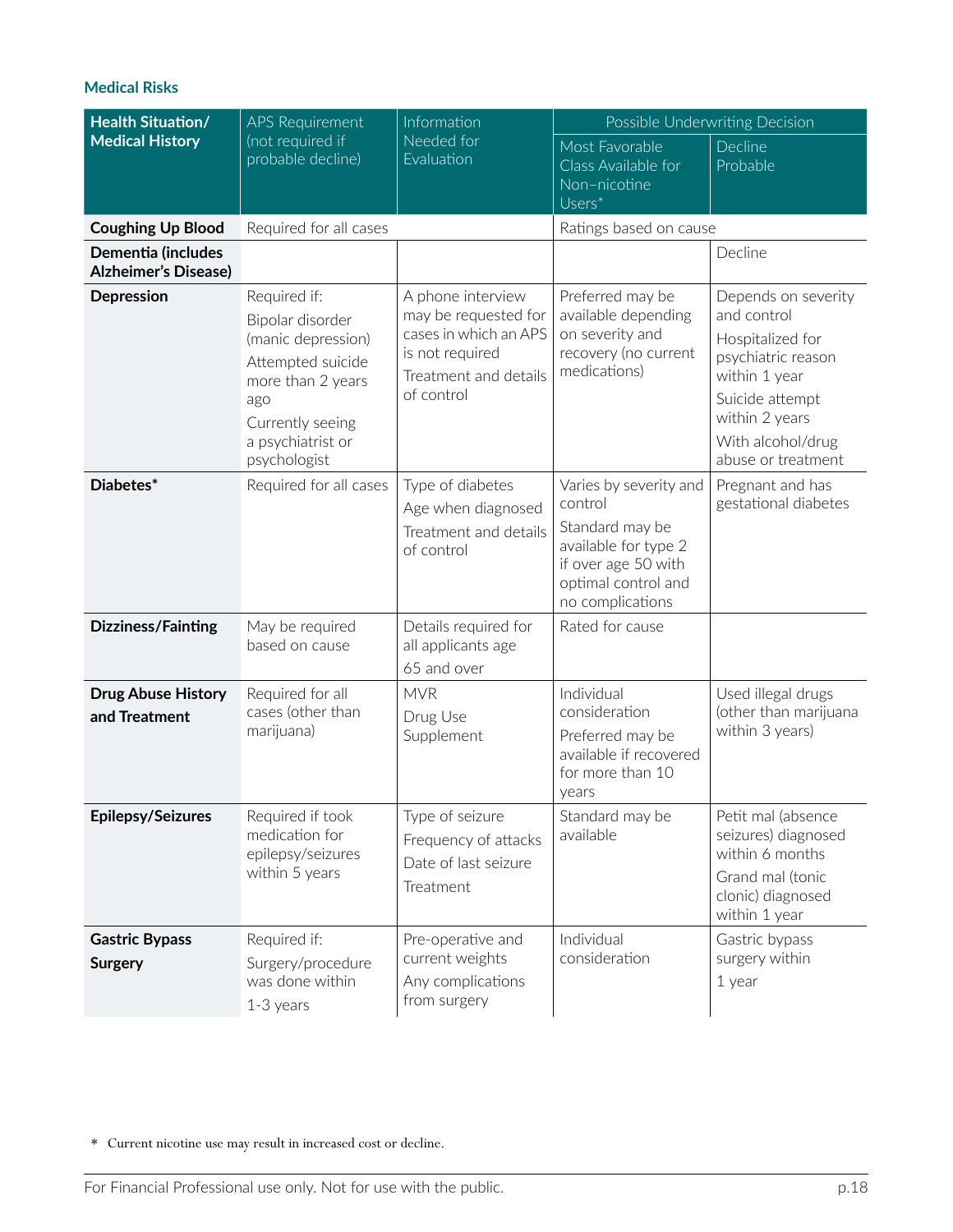| <b>Health Situation/</b>                          | <b>APS Requirement</b>                                                                                                                                           | Information                                                                                                                  | Possible Underwriting Decision                                                                                                                 |                                                                                                                                                                               |
|---------------------------------------------------|------------------------------------------------------------------------------------------------------------------------------------------------------------------|------------------------------------------------------------------------------------------------------------------------------|------------------------------------------------------------------------------------------------------------------------------------------------|-------------------------------------------------------------------------------------------------------------------------------------------------------------------------------|
| <b>Medical History</b>                            | (not required if<br>probable decline)                                                                                                                            | Needed for<br>Evaluation                                                                                                     | Most Favorable<br>Class Available for<br>Non-nicotine<br>$Users^*$                                                                             | Decline<br>Probable                                                                                                                                                           |
| <b>Coughing Up Blood</b>                          | Required for all cases                                                                                                                                           |                                                                                                                              | Ratings based on cause                                                                                                                         |                                                                                                                                                                               |
| Dementia (includes<br><b>Alzheimer's Disease)</b> |                                                                                                                                                                  |                                                                                                                              |                                                                                                                                                | Decline                                                                                                                                                                       |
| Depression                                        | Required if:<br>Bipolar disorder<br>(manic depression)<br>Attempted suicide<br>more than 2 years<br>ago<br>Currently seeing<br>a psychiatrist or<br>psychologist | A phone interview<br>may be requested for<br>cases in which an APS<br>is not required<br>Treatment and details<br>of control | Preferred may be<br>available depending<br>on severity and<br>recovery (no current<br>medications)                                             | Depends on severity<br>and control<br>Hospitalized for<br>psychiatric reason<br>within 1 year<br>Suicide attempt<br>within 2 years<br>With alcohol/drug<br>abuse or treatment |
| Diabetes*                                         | Required for all cases                                                                                                                                           | Type of diabetes<br>Age when diagnosed<br>Treatment and details<br>of control                                                | Varies by severity and<br>control<br>Standard may be<br>available for type 2<br>if over age 50 with<br>optimal control and<br>no complications | Pregnant and has<br>gestational diabetes                                                                                                                                      |
| <b>Dizziness/Fainting</b>                         | May be required<br>based on cause                                                                                                                                | Details required for<br>all applicants age<br>65 and over                                                                    | Rated for cause                                                                                                                                |                                                                                                                                                                               |
| <b>Drug Abuse History</b><br>and Treatment        | Required for all<br>cases (other than<br>marijuana)                                                                                                              | <b>MVR</b><br>Drug Use<br>Supplement                                                                                         | Individual<br>consideration<br>Preferred may be<br>available if recovered<br>for more than 10<br>years                                         | Used illegal drugs<br>(other than marijuana<br>within 3 years)                                                                                                                |
| <b>Epilepsy/Seizures</b>                          | Required if took<br>medication for<br>epilepsy/seizures<br>within 5 years                                                                                        | Type of seizure<br>Frequency of attacks<br>Date of last seizure<br>Treatment                                                 | Standard may be<br>available                                                                                                                   | Petit mal (absence<br>seizures) diagnosed<br>within 6 months<br>Grand mal (tonic<br>clonic) diagnosed<br>within 1 year                                                        |
| <b>Gastric Bypass</b><br><b>Surgery</b>           | Required if:<br>Surgery/procedure<br>was done within<br>$1-3$ years                                                                                              | Pre-operative and<br>current weights<br>Any complications<br>from surgery                                                    | Individual<br>consideration                                                                                                                    | Gastric bypass<br>surgery within<br>1 year                                                                                                                                    |

\* Current nicotine use may result in increased cost or decline.

For Financial Professional use only. Not for use with the public. **Example 20 and 18** p.18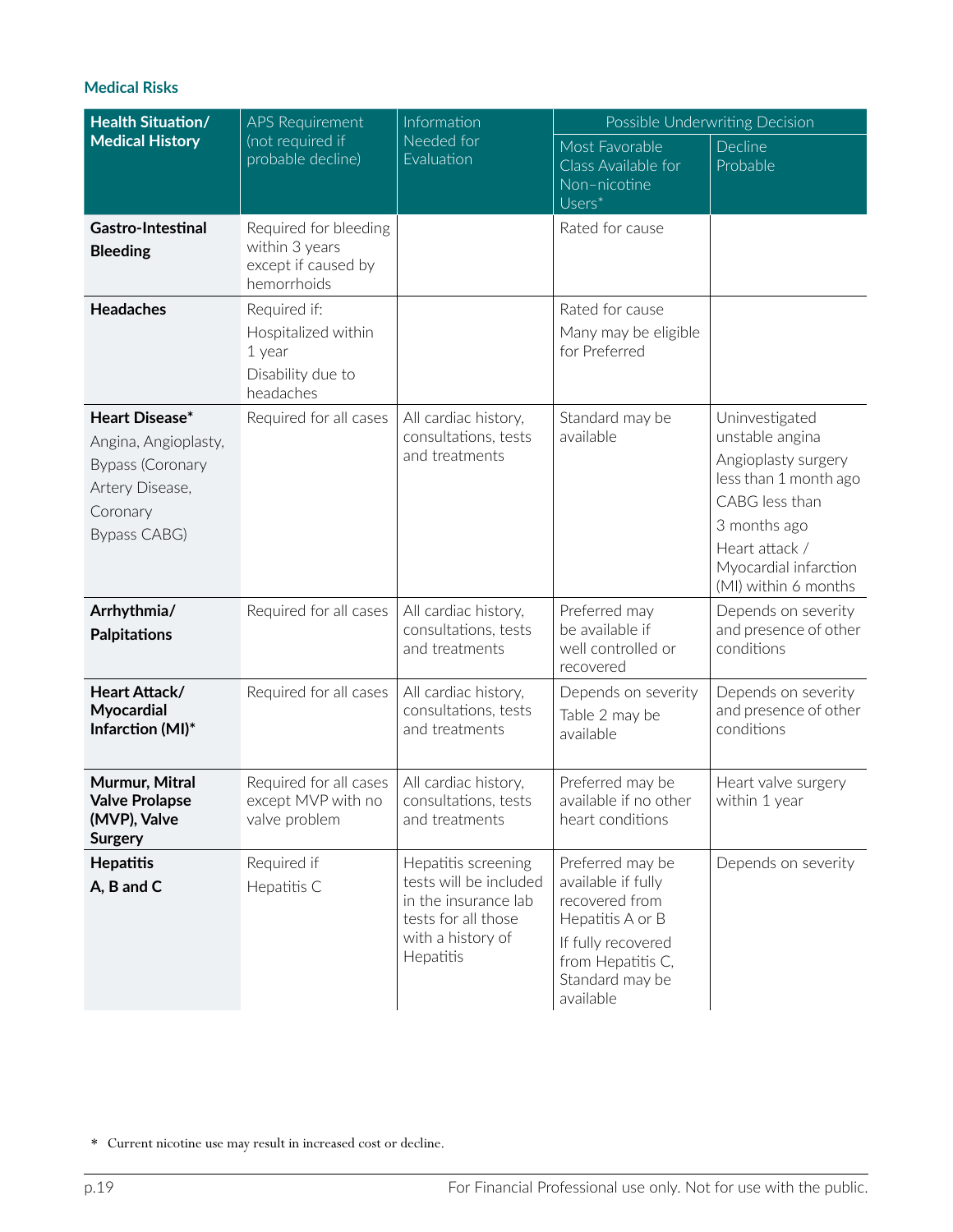| <b>Health Situation/</b>                                                                                         | <b>APS Requirement</b>                                                          | Information<br>Needed for<br>Evaluation                                                                                        | Possible Underwriting Decision                                                                                                                          |                                                                                                                                                                                        |  |
|------------------------------------------------------------------------------------------------------------------|---------------------------------------------------------------------------------|--------------------------------------------------------------------------------------------------------------------------------|---------------------------------------------------------------------------------------------------------------------------------------------------------|----------------------------------------------------------------------------------------------------------------------------------------------------------------------------------------|--|
| <b>Medical History</b>                                                                                           | (not required if<br>probable decline)                                           |                                                                                                                                | Most Favorable<br>Class Available for<br>Non-nicotine<br>$Users^*$                                                                                      | Decline<br>Probable                                                                                                                                                                    |  |
| Gastro-Intestinal<br><b>Bleeding</b>                                                                             | Required for bleeding<br>within 3 years<br>except if caused by<br>hemorrhoids   |                                                                                                                                | Rated for cause                                                                                                                                         |                                                                                                                                                                                        |  |
| <b>Headaches</b>                                                                                                 | Required if:<br>Hospitalized within<br>1 year<br>Disability due to<br>headaches |                                                                                                                                | Rated for cause<br>Many may be eligible<br>for Preferred                                                                                                |                                                                                                                                                                                        |  |
| Heart Disease*<br>Angina, Angioplasty,<br><b>Bypass (Coronary</b><br>Artery Disease,<br>Coronary<br>Bypass CABG) | Required for all cases                                                          | All cardiac history,<br>consultations, tests<br>and treatments                                                                 | Standard may be<br>available                                                                                                                            | Uninvestigated<br>unstable angina<br>Angioplasty surgery<br>less than 1 month ago<br>CABG less than<br>3 months ago<br>Heart attack /<br>Myocardial infarction<br>(MI) within 6 months |  |
| Arrhythmia/<br><b>Palpitations</b>                                                                               | Required for all cases                                                          | All cardiac history,<br>consultations, tests<br>and treatments                                                                 | Preferred may<br>be available if<br>well controlled or<br>recovered                                                                                     | Depends on severity<br>and presence of other<br>conditions                                                                                                                             |  |
| Heart Attack/<br>Myocardial<br>Infarction (MI)*                                                                  | Required for all cases                                                          | All cardiac history,<br>consultations, tests<br>and treatments                                                                 | Depends on severity<br>Table 2 may be<br>available                                                                                                      | Depends on severity<br>and presence of other<br>conditions                                                                                                                             |  |
| Murmur, Mitral<br><b>Valve Prolapse</b><br>(MVP), Valve<br><b>Surgery</b>                                        | Required for all cases<br>except MVP with no<br>valve problem                   | All cardiac history,<br>consultations, tests<br>and treatments                                                                 | Preferred may be<br>available if no other<br>heart conditions                                                                                           | Heart valve surgery<br>within 1 year                                                                                                                                                   |  |
| <b>Hepatitis</b><br>A, B and C                                                                                   | Required if<br>Hepatitis C                                                      | Hepatitis screening<br>tests will be included<br>in the insurance lab<br>tests for all those<br>with a history of<br>Hepatitis | Preferred may be<br>available if fully<br>recovered from<br>Hepatitis A or B<br>If fully recovered<br>from Hepatitis C,<br>Standard may be<br>available | Depends on severity                                                                                                                                                                    |  |

<sup>\*</sup> Current nicotine use may result in increased cost or decline.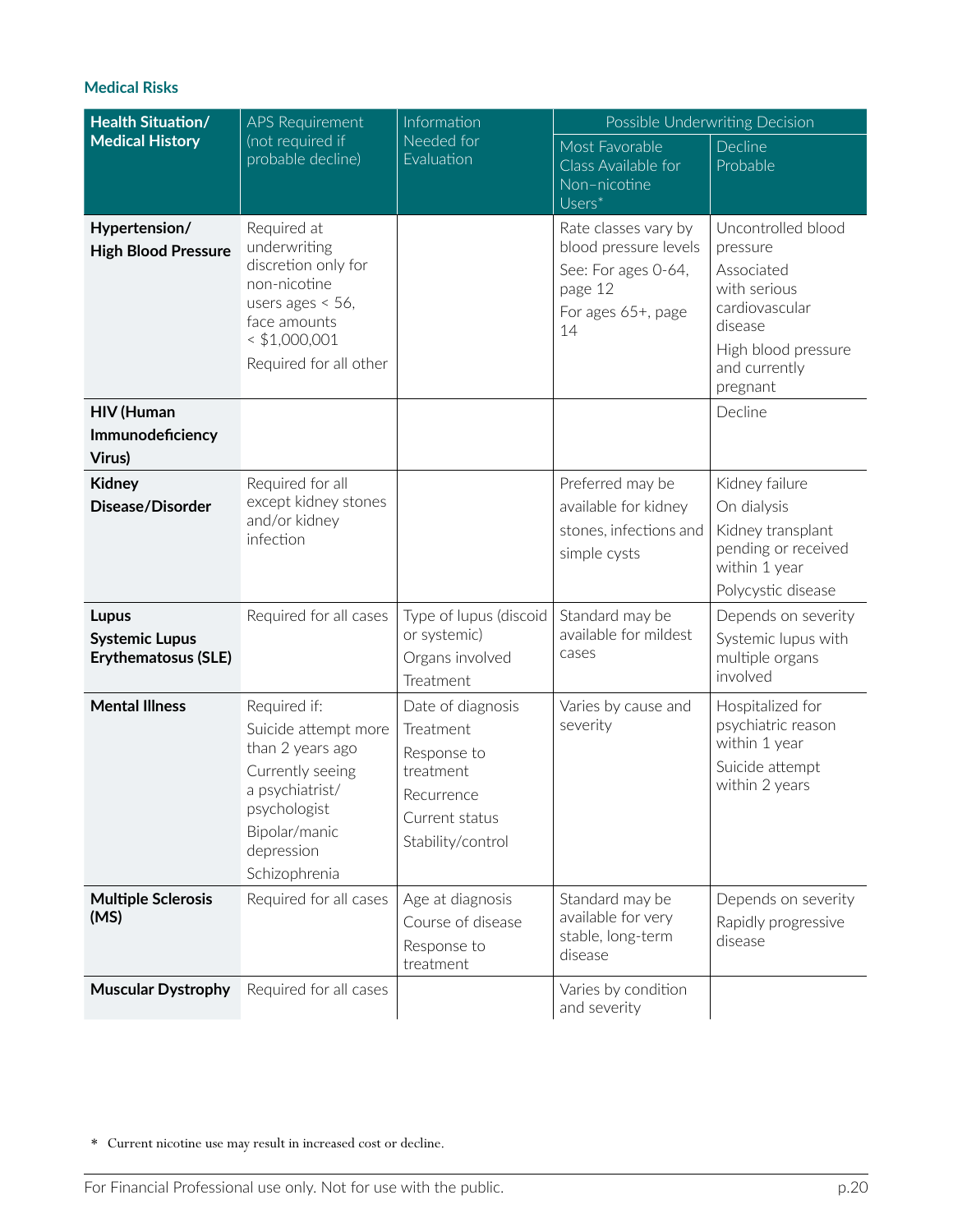| <b>Health Situation/</b>                                            | <b>APS Requirement</b>                                                                                                                                          | Information                                                                                                     | Possible Underwriting Decision                                                                              |                                                                                                                                               |  |
|---------------------------------------------------------------------|-----------------------------------------------------------------------------------------------------------------------------------------------------------------|-----------------------------------------------------------------------------------------------------------------|-------------------------------------------------------------------------------------------------------------|-----------------------------------------------------------------------------------------------------------------------------------------------|--|
| <b>Medical History</b>                                              | (not required if<br>probable decline)                                                                                                                           | Needed for<br>Evaluation                                                                                        | Most Favorable<br>Class Available for<br>Non-nicotine<br>Users*                                             | Decline<br>Probable                                                                                                                           |  |
| Hypertension/<br><b>High Blood Pressure</b>                         | Required at<br>underwriting<br>discretion only for<br>non-nicotine<br>users ages $<$ 56,<br>face amounts<br>$<$ \$1,000,001<br>Required for all other           |                                                                                                                 | Rate classes vary by<br>blood pressure levels<br>See: For ages 0-64,<br>page 12<br>For ages 65+, page<br>14 | Uncontrolled blood<br>pressure<br>Associated<br>with serious<br>cardiovascular<br>disease<br>High blood pressure<br>and currently<br>pregnant |  |
| <b>HIV (Human</b><br>Immunodeficiency<br>Virus)                     |                                                                                                                                                                 |                                                                                                                 |                                                                                                             | Decline                                                                                                                                       |  |
| <b>Kidney</b><br>Disease/Disorder                                   | Required for all<br>except kidney stones<br>and/or kidney<br>infection                                                                                          |                                                                                                                 | Preferred may be<br>available for kidney<br>stones, infections and<br>simple cysts                          | Kidney failure<br>On dialysis<br>Kidney transplant<br>pending or received<br>within 1 year<br>Polycystic disease                              |  |
| <b>Lupus</b><br><b>Systemic Lupus</b><br><b>Erythematosus (SLE)</b> | Required for all cases                                                                                                                                          | Type of lupus (discoid<br>or systemic)<br>Organs involved<br>Treatment                                          | Standard may be<br>available for mildest<br>cases                                                           | Depends on severity<br>Systemic lupus with<br>multiple organs<br>involved                                                                     |  |
| <b>Mental Illness</b>                                               | Required if:<br>Suicide attempt more<br>than 2 years ago<br>Currently seeing<br>a psychiatrist/<br>psychologist<br>Bipolar/manic<br>depression<br>Schizophrenia | Date of diagnosis<br>Treatment<br>Response to<br>treatment<br>Recurrence<br>Current status<br>Stability/control | Varies by cause and<br>severity                                                                             | Hospitalized for<br>psychiatric reason<br>within 1 year<br>Suicide attempt<br>within 2 years                                                  |  |
| <b>Multiple Sclerosis</b><br>(MS)                                   | Required for all cases                                                                                                                                          | Age at diagnosis<br>Course of disease<br>Response to<br>treatment                                               | Standard may be<br>available for very<br>stable, long-term<br>disease                                       | Depends on severity<br>Rapidly progressive<br>disease                                                                                         |  |
| <b>Muscular Dystrophy</b>                                           | Required for all cases                                                                                                                                          |                                                                                                                 | Varies by condition<br>and severity                                                                         |                                                                                                                                               |  |

\* Current nicotine use may result in increased cost or decline.

For Financial Professional use only. Not for use with the public. p.20 p.20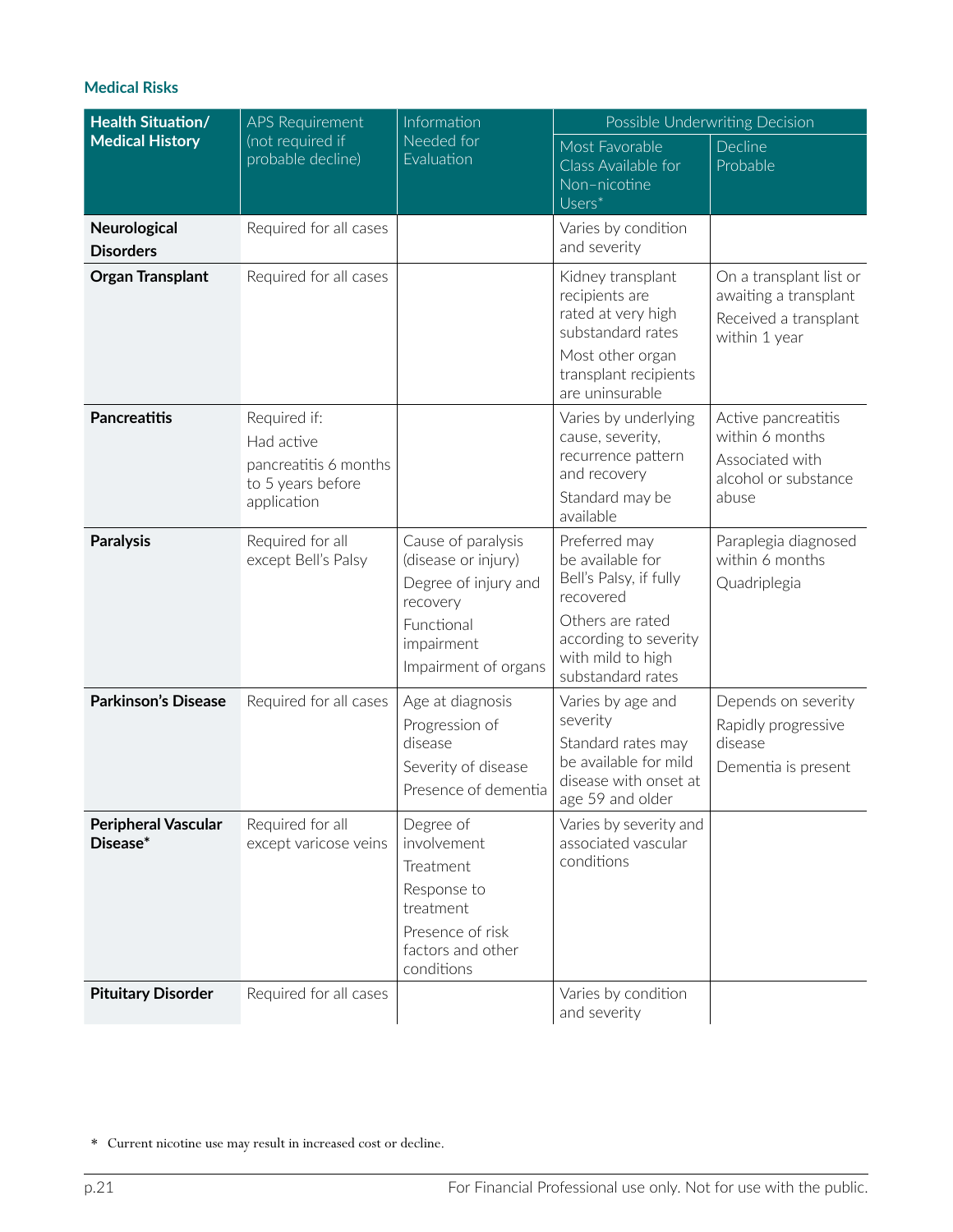| <b>Health Situation/</b>               | <b>APS Requirement</b>                                                                  | Information                                                                                                                       | Possible Underwriting Decision                                                                                                                                  |                                                                                            |  |
|----------------------------------------|-----------------------------------------------------------------------------------------|-----------------------------------------------------------------------------------------------------------------------------------|-----------------------------------------------------------------------------------------------------------------------------------------------------------------|--------------------------------------------------------------------------------------------|--|
| <b>Medical History</b>                 | (not required if<br>probable decline)                                                   | Needed for<br>Evaluation                                                                                                          | Most Favorable<br>Class Available for<br>Non-nicotine<br>Users*                                                                                                 | Decline<br>Probable                                                                        |  |
| Neurological<br><b>Disorders</b>       | Required for all cases                                                                  |                                                                                                                                   | Varies by condition<br>and severity                                                                                                                             |                                                                                            |  |
| <b>Organ Transplant</b>                | Required for all cases                                                                  |                                                                                                                                   | Kidney transplant<br>recipients are<br>rated at very high<br>substandard rates<br>Most other organ<br>transplant recipients<br>are uninsurable                  | On a transplant list or<br>awaiting a transplant<br>Received a transplant<br>within 1 year |  |
| <b>Pancreatitis</b>                    | Required if:<br>Had active<br>pancreatitis 6 months<br>to 5 years before<br>application |                                                                                                                                   | Varies by underlying<br>cause, severity,<br>recurrence pattern<br>and recovery<br>Standard may be<br>available                                                  | Active pancreatitis<br>within 6 months<br>Associated with<br>alcohol or substance<br>abuse |  |
| <b>Paralysis</b>                       | Required for all<br>except Bell's Palsy                                                 | Cause of paralysis<br>(disease or injury)<br>Degree of injury and<br>recovery<br>Functional<br>impairment<br>Impairment of organs | Preferred may<br>be available for<br>Bell's Palsy, if fully<br>recovered<br>Others are rated<br>according to severity<br>with mild to high<br>substandard rates | Paraplegia diagnosed<br>within 6 months<br>Quadriplegia                                    |  |
| <b>Parkinson's Disease</b>             | Required for all cases                                                                  | Age at diagnosis<br>Progression of<br>disease<br>Severity of disease<br>Presence of dementia                                      | Varies by age and<br>severity<br>Standard rates may<br>be available for mild<br>disease with onset at<br>age 59 and older                                       | Depends on severity<br>Rapidly progressive<br>disease<br>Dementia is present               |  |
| <b>Peripheral Vascular</b><br>Disease* | Required for all<br>except varicose veins                                               | Degree of<br>involvement<br>Treatment<br>Response to<br>treatment<br>Presence of risk<br>factors and other<br>conditions          | Varies by severity and<br>associated vascular<br>conditions                                                                                                     |                                                                                            |  |
| <b>Pituitary Disorder</b>              | Required for all cases                                                                  |                                                                                                                                   | Varies by condition<br>and severity                                                                                                                             |                                                                                            |  |

<sup>\*</sup> Current nicotine use may result in increased cost or decline.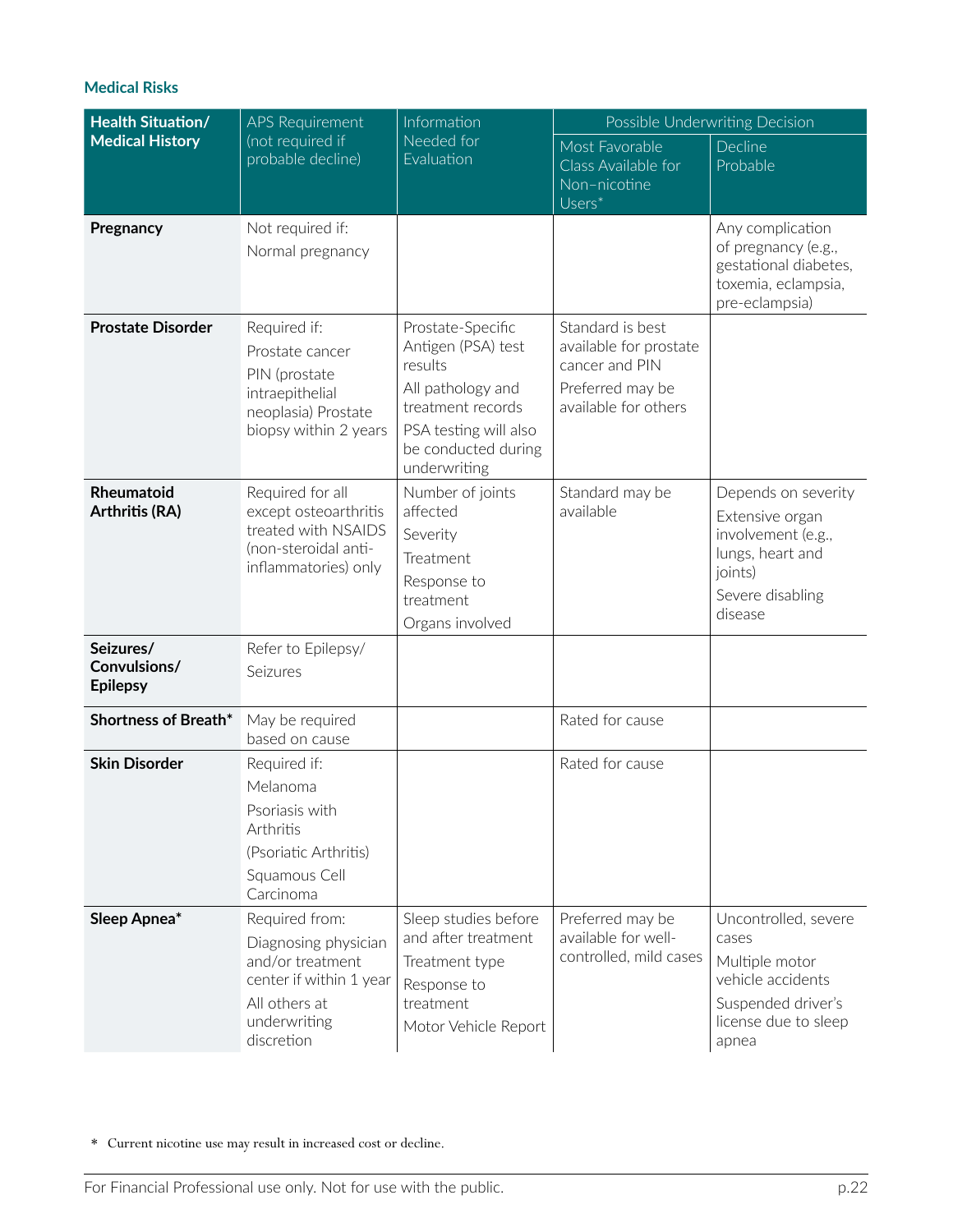| <b>Health Situation/</b>                     | <b>APS Requirement</b>                                                                                                               | Information                                                                                                                                                  | Possible Underwriting Decision                                                                           |                                                                                                                             |  |
|----------------------------------------------|--------------------------------------------------------------------------------------------------------------------------------------|--------------------------------------------------------------------------------------------------------------------------------------------------------------|----------------------------------------------------------------------------------------------------------|-----------------------------------------------------------------------------------------------------------------------------|--|
| <b>Medical History</b>                       | (not required if<br>probable decline)                                                                                                | Needed for<br>Evaluation                                                                                                                                     | Most Favorable<br>Class Available for<br>Non-nicotine<br>Users*                                          | Decline<br>Probable                                                                                                         |  |
| Pregnancy                                    | Not required if:<br>Normal pregnancy                                                                                                 |                                                                                                                                                              |                                                                                                          | Any complication<br>of pregnancy (e.g.,<br>gestational diabetes,<br>toxemia, eclampsia,<br>pre-eclampsia)                   |  |
| <b>Prostate Disorder</b>                     | Required if:<br>Prostate cancer<br>PIN (prostate<br>intraepithelial<br>neoplasia) Prostate<br>biopsy within 2 years                  | Prostate-Specific<br>Antigen (PSA) test<br>results<br>All pathology and<br>treatment records<br>PSA testing will also<br>be conducted during<br>underwriting | Standard is best<br>available for prostate<br>cancer and PIN<br>Preferred may be<br>available for others |                                                                                                                             |  |
| Rheumatoid<br>Arthritis (RA)                 | Required for all<br>except osteoarthritis<br>treated with NSAIDS<br>(non-steroidal anti-<br>inflammatories) only                     | Number of joints<br>affected<br>Severity<br>Treatment<br>Response to<br>treatment<br>Organs involved                                                         | Standard may be<br>available                                                                             | Depends on severity<br>Extensive organ<br>involvement (e.g.,<br>lungs, heart and<br>joints)<br>Severe disabling<br>disease  |  |
| Seizures/<br>Convulsions/<br><b>Epilepsy</b> | Refer to Epilepsy/<br>Seizures                                                                                                       |                                                                                                                                                              |                                                                                                          |                                                                                                                             |  |
| Shortness of Breath*                         | May be required<br>based on cause                                                                                                    |                                                                                                                                                              | Rated for cause                                                                                          |                                                                                                                             |  |
| <b>Skin Disorder</b>                         | Required if:<br>Melanoma<br>Psoriasis with<br>Arthritis<br>(Psoriatic Arthritis)<br>Squamous Cell<br>Carcinoma                       |                                                                                                                                                              | Rated for cause                                                                                          |                                                                                                                             |  |
| Sleep Apnea*                                 | Required from:<br>Diagnosing physician<br>and/or treatment<br>center if within 1 year<br>All others at<br>underwriting<br>discretion | Sleep studies before<br>and after treatment<br>Treatment type<br>Response to<br>treatment<br>Motor Vehicle Report                                            | Preferred may be<br>available for well-<br>controlled, mild cases                                        | Uncontrolled, severe<br>cases<br>Multiple motor<br>vehicle accidents<br>Suspended driver's<br>license due to sleep<br>apnea |  |

\* Current nicotine use may result in increased cost or decline.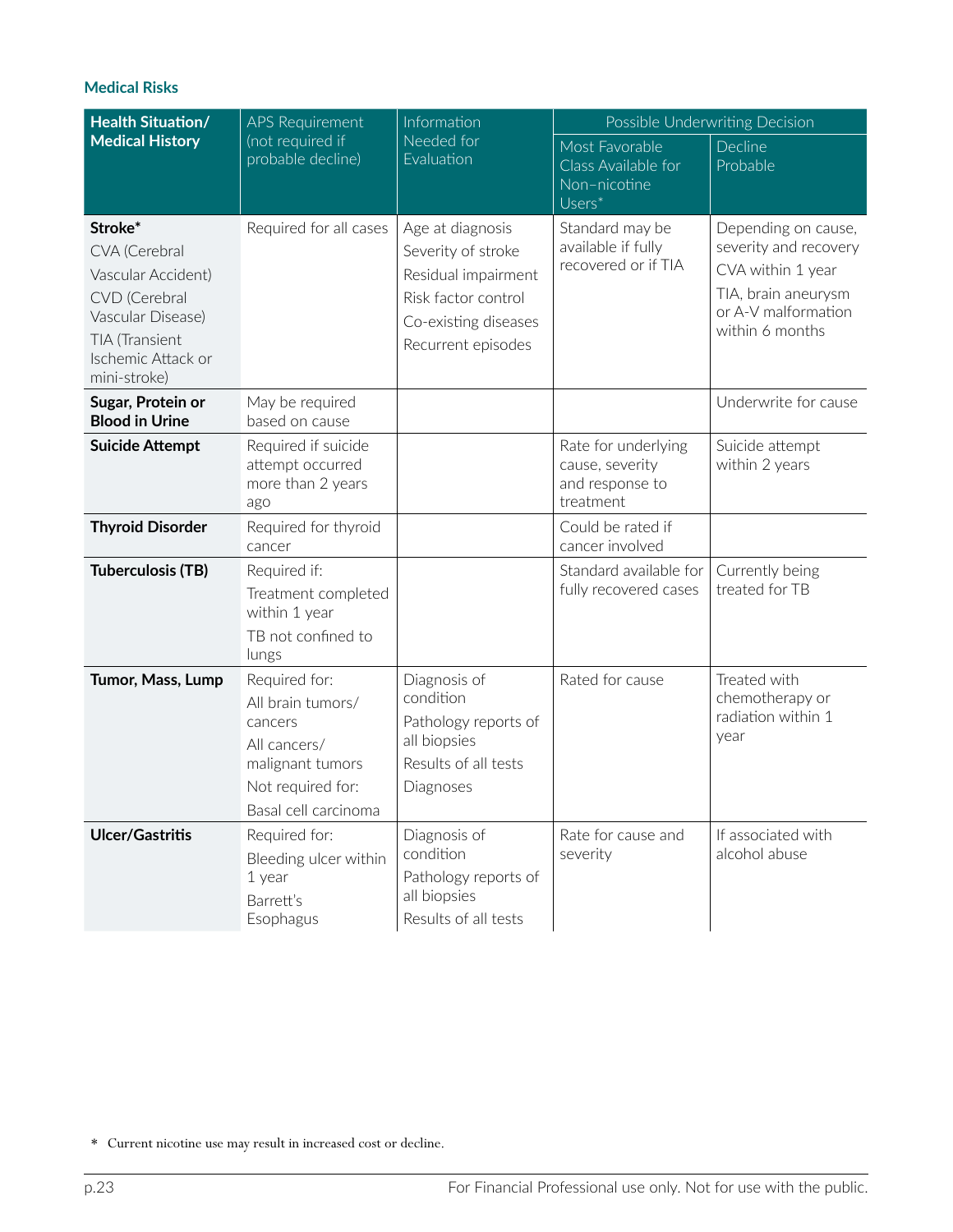| <b>Health Situation/</b>                                                                                                                     | <b>APS Requirement</b><br>Information<br>(not required if<br>Needed for<br>probable decline)<br>Evaluation                     |                                                                                                                                    | Possible Underwriting Decision                                         |                                                                                                                                    |
|----------------------------------------------------------------------------------------------------------------------------------------------|--------------------------------------------------------------------------------------------------------------------------------|------------------------------------------------------------------------------------------------------------------------------------|------------------------------------------------------------------------|------------------------------------------------------------------------------------------------------------------------------------|
| <b>Medical History</b>                                                                                                                       |                                                                                                                                |                                                                                                                                    | Most Favorable<br>Class Available for<br>Non-nicotine<br>$Users^*$     | Decline<br>Probable                                                                                                                |
| Stroke*<br>CVA (Cerebral<br>Vascular Accident)<br>CVD (Cerebral<br>Vascular Disease)<br>TIA (Transient<br>Ischemic Attack or<br>mini-stroke) | Required for all cases                                                                                                         | Age at diagnosis<br>Severity of stroke<br>Residual impairment<br>Risk factor control<br>Co-existing diseases<br>Recurrent episodes | Standard may be<br>available if fully<br>recovered or if TIA           | Depending on cause,<br>severity and recovery<br>CVA within 1 year<br>TIA, brain aneurysm<br>or A-V malformation<br>within 6 months |
| Sugar, Protein or<br><b>Blood in Urine</b>                                                                                                   | May be required<br>based on cause                                                                                              |                                                                                                                                    |                                                                        | Underwrite for cause                                                                                                               |
| <b>Suicide Attempt</b>                                                                                                                       | Required if suicide<br>attempt occurred<br>more than 2 years<br>ago                                                            |                                                                                                                                    | Rate for underlying<br>cause, severity<br>and response to<br>treatment | Suicide attempt<br>within 2 years                                                                                                  |
| <b>Thyroid Disorder</b>                                                                                                                      | Required for thyroid<br>cancer                                                                                                 |                                                                                                                                    | Could be rated if<br>cancer involved                                   |                                                                                                                                    |
| <b>Tuberculosis (TB)</b>                                                                                                                     | Required if:<br>Treatment completed<br>within 1 year<br>TB not confined to<br>lungs                                            |                                                                                                                                    | Standard available for<br>fully recovered cases                        | Currently being<br>treated for TB                                                                                                  |
| Tumor, Mass, Lump                                                                                                                            | Required for:<br>All brain tumors/<br>cancers<br>All cancers/<br>malignant tumors<br>Not required for:<br>Basal cell carcinoma | Diagnosis of<br>condition<br>Pathology reports of<br>all biopsies<br>Results of all tests<br>Diagnoses                             | Rated for cause                                                        | Treated with<br>chemotherapy or<br>radiation within 1<br>year                                                                      |
| <b>Ulcer/Gastritis</b>                                                                                                                       | Required for:<br>Bleeding ulcer within<br>1 year<br>Barrett's<br>Esophagus                                                     | Diagnosis of<br>condition<br>Pathology reports of<br>all biopsies<br>Results of all tests                                          | Rate for cause and<br>severity                                         | If associated with<br>alcohol abuse                                                                                                |

<sup>\*</sup> Current nicotine use may result in increased cost or decline.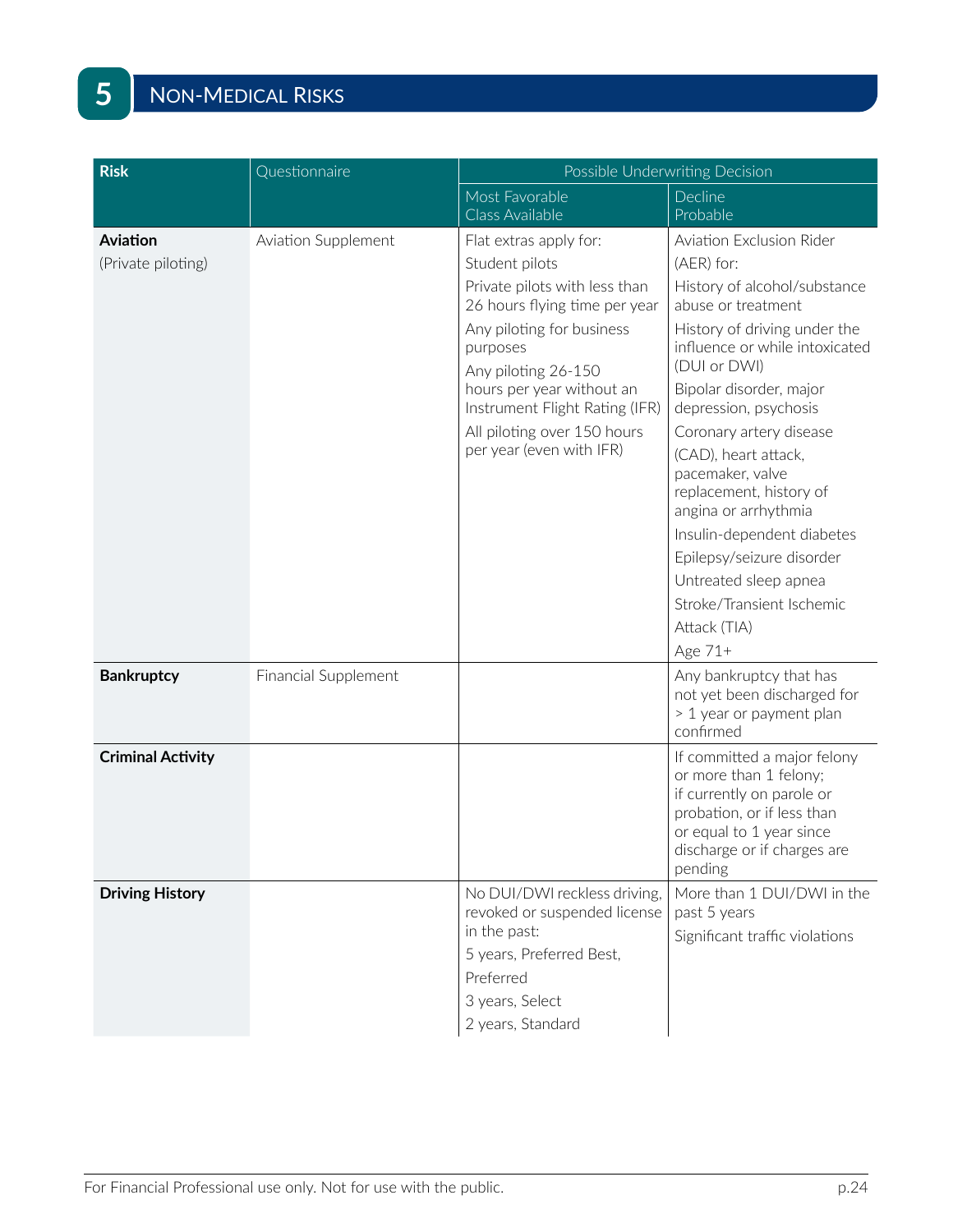| <b>Risk</b>              | Questionnaire               | Possible Underwriting Decision                                               |                                                                                                                                                                                        |  |
|--------------------------|-----------------------------|------------------------------------------------------------------------------|----------------------------------------------------------------------------------------------------------------------------------------------------------------------------------------|--|
|                          |                             | Most Favorable                                                               | Decline                                                                                                                                                                                |  |
|                          |                             | Class Available                                                              | Probable                                                                                                                                                                               |  |
| <b>Aviation</b>          | Aviation Supplement         | Flat extras apply for:                                                       | Aviation Exclusion Rider                                                                                                                                                               |  |
| (Private piloting)       |                             | Student pilots                                                               | (AER) for:                                                                                                                                                                             |  |
|                          |                             | Private pilots with less than<br>26 hours flying time per year               | History of alcohol/substance<br>abuse or treatment                                                                                                                                     |  |
|                          |                             | Any piloting for business<br>purposes                                        | History of driving under the<br>influence or while intoxicated                                                                                                                         |  |
|                          |                             | Any piloting 26-150                                                          | (DUI or DWI)                                                                                                                                                                           |  |
|                          |                             | hours per year without an<br>Instrument Flight Rating (IFR)                  | Bipolar disorder, major<br>depression, psychosis                                                                                                                                       |  |
|                          |                             | All piloting over 150 hours                                                  | Coronary artery disease                                                                                                                                                                |  |
|                          |                             | per year (even with IFR)                                                     | (CAD), heart attack,<br>pacemaker, valve<br>replacement, history of<br>angina or arrhythmia                                                                                            |  |
|                          |                             |                                                                              | Insulin-dependent diabetes                                                                                                                                                             |  |
|                          |                             |                                                                              | Epilepsy/seizure disorder                                                                                                                                                              |  |
|                          |                             |                                                                              | Untreated sleep apnea                                                                                                                                                                  |  |
|                          |                             |                                                                              | Stroke/Transient Ischemic                                                                                                                                                              |  |
|                          |                             |                                                                              | Attack (TIA)                                                                                                                                                                           |  |
|                          |                             |                                                                              | Age 71+                                                                                                                                                                                |  |
| <b>Bankruptcy</b>        | <b>Financial Supplement</b> |                                                                              | Any bankruptcy that has<br>not yet been discharged for<br>> 1 year or payment plan<br>confirmed                                                                                        |  |
| <b>Criminal Activity</b> |                             |                                                                              | If committed a major felony<br>or more than 1 felony;<br>if currently on parole or<br>probation, or if less than<br>or equal to 1 year since<br>discharge or if charges are<br>pending |  |
| <b>Driving History</b>   |                             | No DUI/DWI reckless driving,<br>revoked or suspended license<br>in the past: | More than 1 DUI/DWI in the<br>past 5 years<br>Significant traffic violations                                                                                                           |  |
|                          |                             | 5 years, Preferred Best,                                                     |                                                                                                                                                                                        |  |
|                          |                             | Preferred                                                                    |                                                                                                                                                                                        |  |
|                          |                             | 3 years, Select                                                              |                                                                                                                                                                                        |  |
|                          |                             | 2 years, Standard                                                            |                                                                                                                                                                                        |  |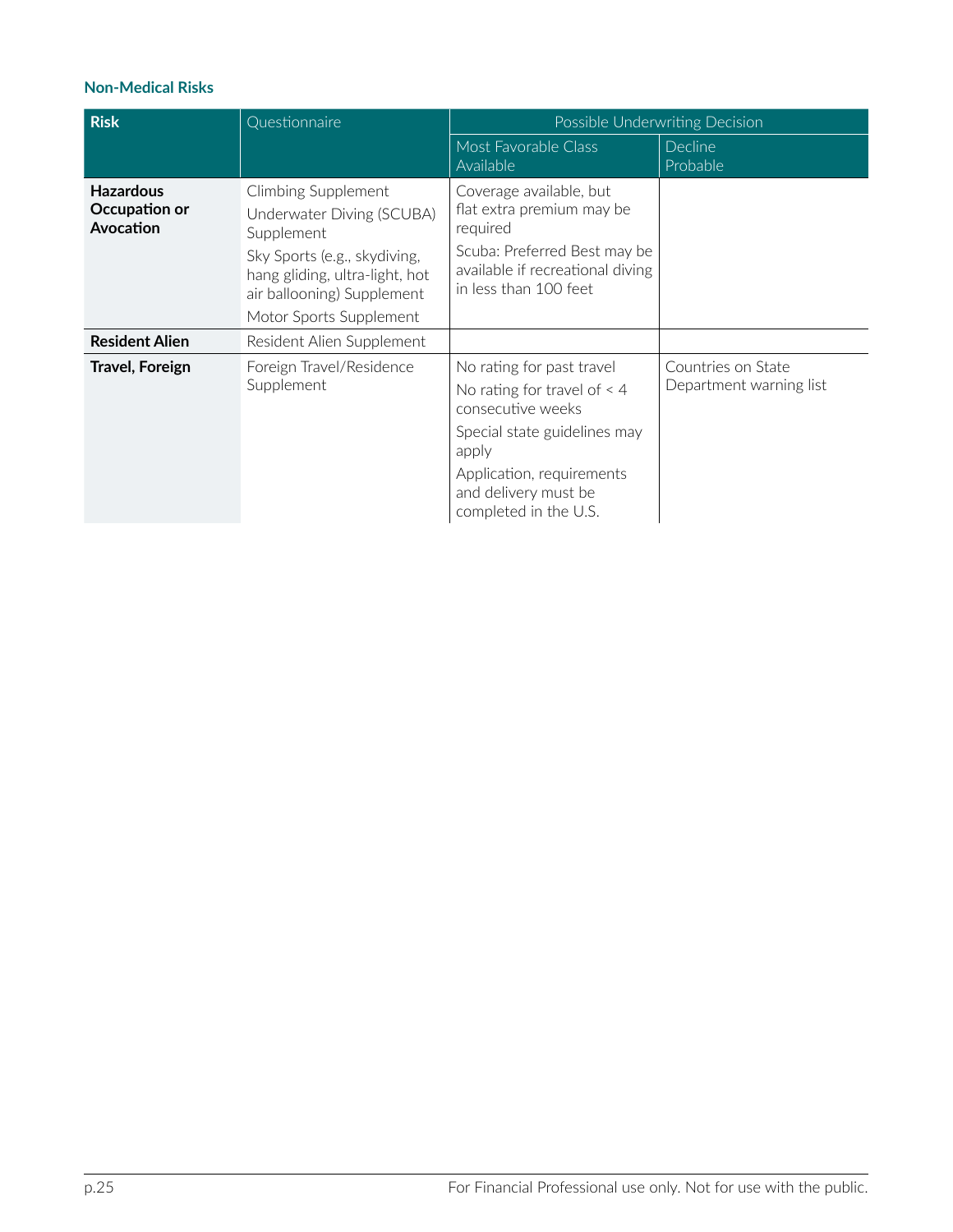#### **Non-Medical Risks**

| <b>Risk</b>                                    | Questionnaire                                                                                                                                                  | Possible Underwriting Decision                                                                                                                                                                         |                                               |  |
|------------------------------------------------|----------------------------------------------------------------------------------------------------------------------------------------------------------------|--------------------------------------------------------------------------------------------------------------------------------------------------------------------------------------------------------|-----------------------------------------------|--|
|                                                |                                                                                                                                                                | Most Favorable Class<br>Available                                                                                                                                                                      | <b>Decline</b><br>Probable                    |  |
| <b>Hazardous</b><br>Occupation or<br>Avocation | Climbing Supplement<br>Underwater Diving (SCUBA)<br>Supplement<br>Sky Sports (e.g., skydiving,<br>hang gliding, ultra-light, hot<br>air ballooning) Supplement | Coverage available, but<br>flat extra premium may be<br>required<br>Scuba: Preferred Best may be<br>available if recreational diving<br>in less than 100 feet                                          |                                               |  |
|                                                | Motor Sports Supplement                                                                                                                                        |                                                                                                                                                                                                        |                                               |  |
| <b>Resident Alien</b>                          | Resident Alien Supplement                                                                                                                                      |                                                                                                                                                                                                        |                                               |  |
| <b>Travel, Foreign</b>                         | Foreign Travel/Residence<br>Supplement                                                                                                                         | No rating for past travel<br>No rating for travel of $<$ 4<br>consecutive weeks<br>Special state guidelines may<br>apply<br>Application, requirements<br>and delivery must be<br>completed in the U.S. | Countries on State<br>Department warning list |  |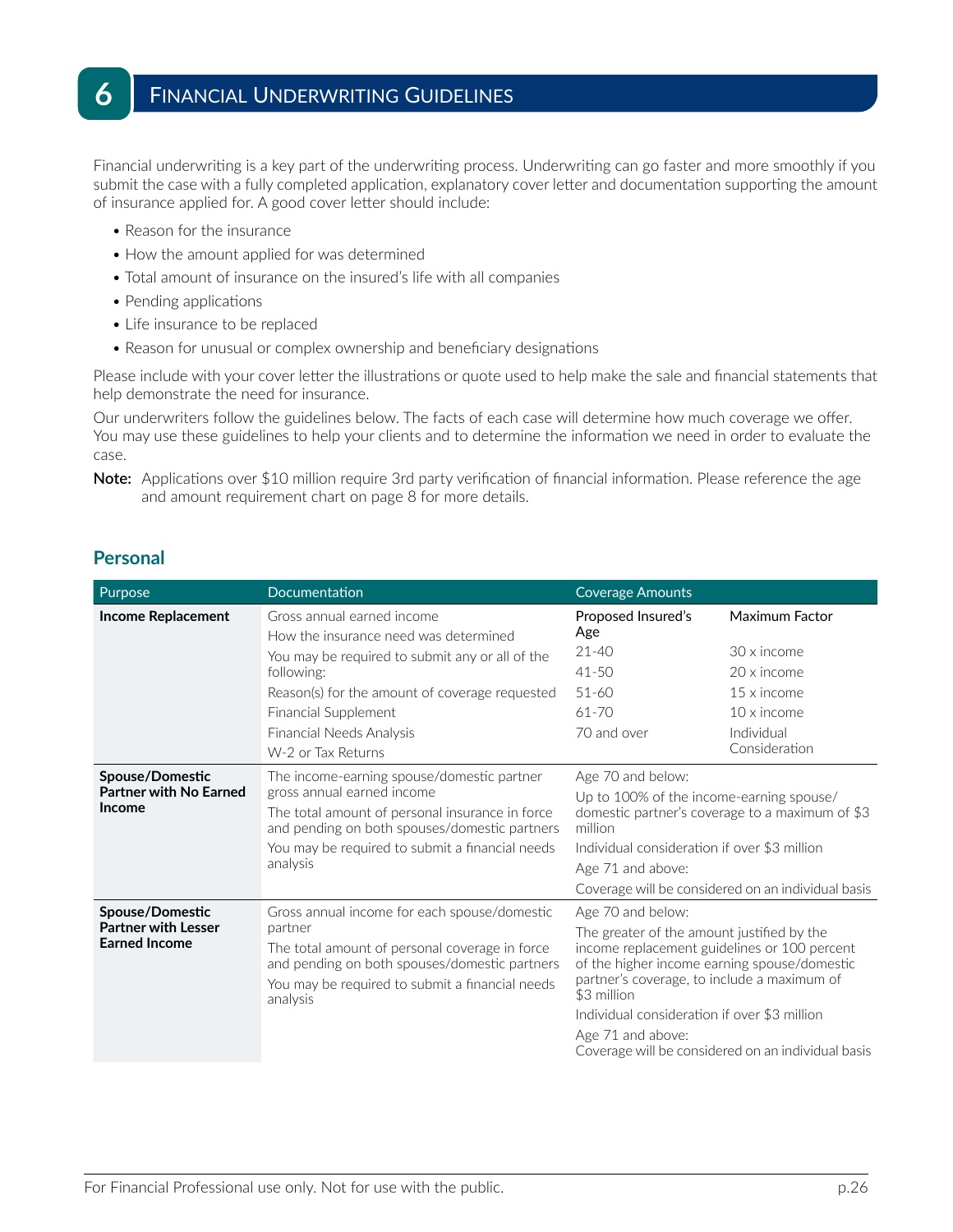Financial underwriting is a key part of the underwriting process. Underwriting can go faster and more smoothly if you submit the case with a fully completed application, explanatory cover letter and documentation supporting the amount of insurance applied for. A good cover letter should include:

- Reason for the insurance
- How the amount applied for was determined
- Total amount of insurance on the insured's life with all companies
- Pending applications
- Life insurance to be replaced
- Reason for unusual or complex ownership and beneficiary designations

Please include with your cover letter the illustrations or quote used to help make the sale and financial statements that help demonstrate the need for insurance.

Our underwriters follow the guidelines below. The facts of each case will determine how much coverage we offer. You may use these guidelines to help your clients and to determine the information we need in order to evaluate the case.

**Note:** Applications over \$10 million require 3rd party verification of financial information. Please reference the age and amount requirement chart on page 8 for more details.

#### **Personal**

| Purpose                                                               | Documentation                                                                                                                                                                                                                                                           | Coverage Amounts                                                                                                                                                                                                                                                                                                                                         |                                                                                                                  |
|-----------------------------------------------------------------------|-------------------------------------------------------------------------------------------------------------------------------------------------------------------------------------------------------------------------------------------------------------------------|----------------------------------------------------------------------------------------------------------------------------------------------------------------------------------------------------------------------------------------------------------------------------------------------------------------------------------------------------------|------------------------------------------------------------------------------------------------------------------|
| <b>Income Replacement</b>                                             | Gross annual earned income<br>How the insurance need was determined<br>You may be required to submit any or all of the<br>following:<br>Reason(s) for the amount of coverage requested<br>Financial Supplement<br><b>Financial Needs Analysis</b><br>W-2 or Tax Returns | Proposed Insured's<br>Age<br>$21 - 40$<br>$41 - 50$<br>$51 - 60$<br>$61 - 70$<br>70 and over                                                                                                                                                                                                                                                             | Maximum Factor<br>30 x income<br>20 x income<br>15 x income<br>$10 \times$ income<br>Individual<br>Consideration |
| Spouse/Domestic<br><b>Partner with No Earned</b><br><b>Income</b>     | The income-earning spouse/domestic partner<br>gross annual earned income<br>The total amount of personal insurance in force<br>and pending on both spouses/domestic partners<br>You may be required to submit a financial needs<br>analysis                             | Age 70 and below:<br>Up to 100% of the income-earning spouse/<br>million<br>Individual consideration if over \$3 million<br>Age 71 and above:                                                                                                                                                                                                            | domestic partner's coverage to a maximum of \$3<br>Coverage will be considered on an individual basis            |
| Spouse/Domestic<br><b>Partner with Lesser</b><br><b>Earned Income</b> | Gross annual income for each spouse/domestic<br>partner<br>The total amount of personal coverage in force<br>and pending on both spouses/domestic partners<br>You may be required to submit a financial needs<br>analysis                                               | Age 70 and below:<br>The greater of the amount justified by the<br>income replacement guidelines or 100 percent<br>of the higher income earning spouse/domestic<br>partner's coverage, to include a maximum of<br>\$3 million<br>Individual consideration if over \$3 million<br>Age 71 and above:<br>Coverage will be considered on an individual basis |                                                                                                                  |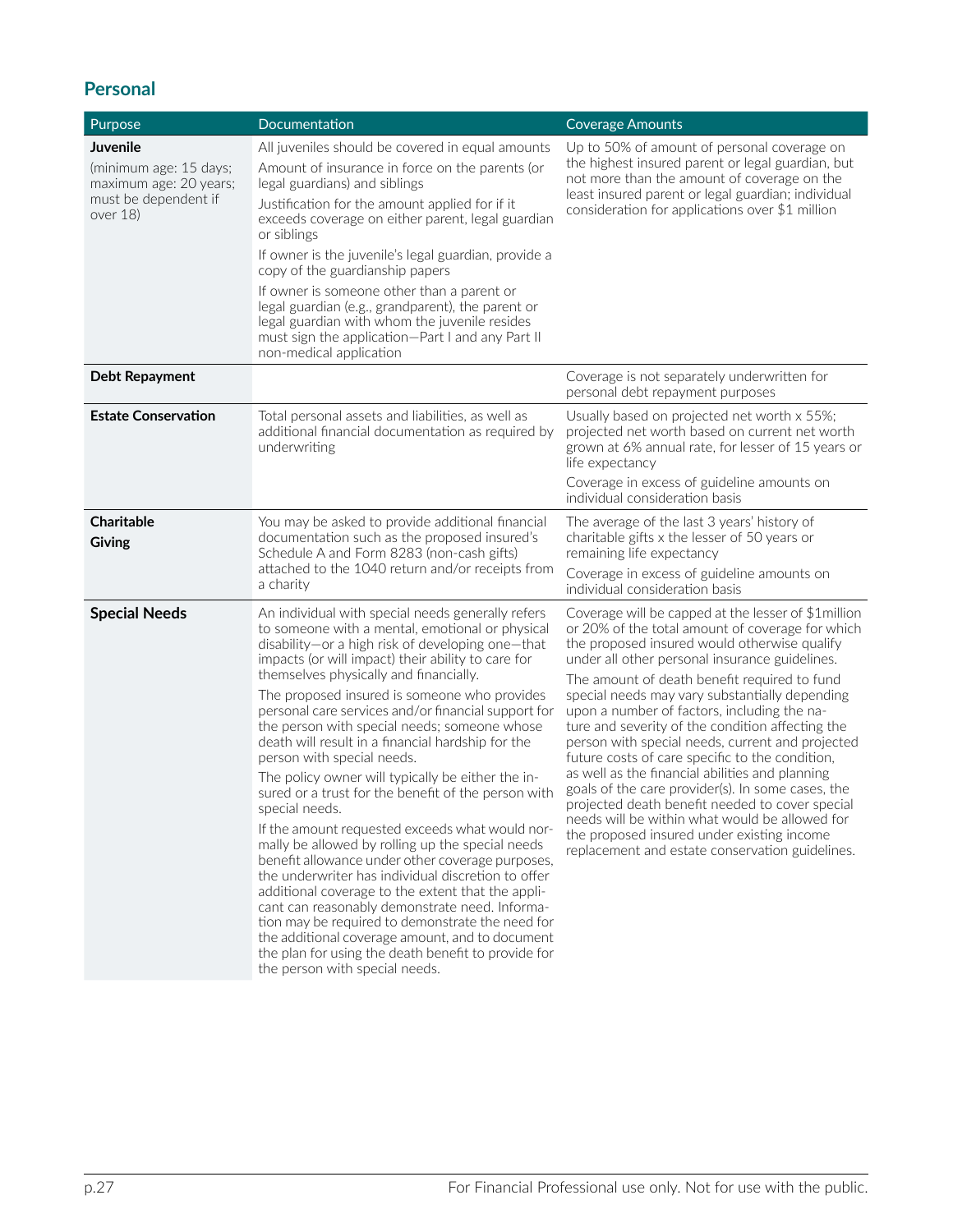# **Personal**

| Purpose                                                                                          | Documentation                                                                                                                                                                                                                                                                                                                                                                                                                                                                                                                                                                                                                                                                                                                                                                                                                                                                                                                                                                                                                                                                                                                                            | <b>Coverage Amounts</b>                                                                                                                                                                                                                                                                                                                                                                                                                                                                                                                                                                                                                                                                                                                                                                                                             |
|--------------------------------------------------------------------------------------------------|----------------------------------------------------------------------------------------------------------------------------------------------------------------------------------------------------------------------------------------------------------------------------------------------------------------------------------------------------------------------------------------------------------------------------------------------------------------------------------------------------------------------------------------------------------------------------------------------------------------------------------------------------------------------------------------------------------------------------------------------------------------------------------------------------------------------------------------------------------------------------------------------------------------------------------------------------------------------------------------------------------------------------------------------------------------------------------------------------------------------------------------------------------|-------------------------------------------------------------------------------------------------------------------------------------------------------------------------------------------------------------------------------------------------------------------------------------------------------------------------------------------------------------------------------------------------------------------------------------------------------------------------------------------------------------------------------------------------------------------------------------------------------------------------------------------------------------------------------------------------------------------------------------------------------------------------------------------------------------------------------------|
| Juvenile<br>(minimum age: 15 days;<br>maximum age: 20 years;<br>must be dependent if<br>over 18) | All juveniles should be covered in equal amounts<br>Amount of insurance in force on the parents (or<br>legal guardians) and siblings<br>Justification for the amount applied for if it<br>exceeds coverage on either parent, legal guardian<br>or siblings<br>If owner is the juvenile's legal guardian, provide a<br>copy of the guardianship papers<br>If owner is someone other than a parent or<br>legal guardian (e.g., grandparent), the parent or<br>legal guardian with whom the juvenile resides<br>must sign the application-Part I and any Part II<br>non-medical application                                                                                                                                                                                                                                                                                                                                                                                                                                                                                                                                                                 | Up to 50% of amount of personal coverage on<br>the highest insured parent or legal guardian, but<br>not more than the amount of coverage on the<br>least insured parent or legal guardian; individual<br>consideration for applications over \$1 million                                                                                                                                                                                                                                                                                                                                                                                                                                                                                                                                                                            |
| Debt Repayment                                                                                   |                                                                                                                                                                                                                                                                                                                                                                                                                                                                                                                                                                                                                                                                                                                                                                                                                                                                                                                                                                                                                                                                                                                                                          | Coverage is not separately underwritten for<br>personal debt repayment purposes                                                                                                                                                                                                                                                                                                                                                                                                                                                                                                                                                                                                                                                                                                                                                     |
| <b>Estate Conservation</b>                                                                       | Total personal assets and liabilities, as well as<br>additional financial documentation as required by<br>underwriting                                                                                                                                                                                                                                                                                                                                                                                                                                                                                                                                                                                                                                                                                                                                                                                                                                                                                                                                                                                                                                   | Usually based on projected net worth x 55%;<br>projected net worth based on current net worth<br>grown at 6% annual rate, for lesser of 15 years or<br>life expectancy<br>Coverage in excess of guideline amounts on<br>individual consideration basis                                                                                                                                                                                                                                                                                                                                                                                                                                                                                                                                                                              |
| Charitable<br><b>Giving</b>                                                                      | You may be asked to provide additional financial<br>documentation such as the proposed insured's<br>Schedule A and Form 8283 (non-cash gifts)<br>attached to the 1040 return and/or receipts from<br>a charity                                                                                                                                                                                                                                                                                                                                                                                                                                                                                                                                                                                                                                                                                                                                                                                                                                                                                                                                           | The average of the last 3 years' history of<br>charitable gifts x the lesser of 50 years or<br>remaining life expectancy<br>Coverage in excess of guideline amounts on<br>individual consideration basis                                                                                                                                                                                                                                                                                                                                                                                                                                                                                                                                                                                                                            |
| <b>Special Needs</b>                                                                             | An individual with special needs generally refers<br>to someone with a mental, emotional or physical<br>disability-or a high risk of developing one-that<br>impacts (or will impact) their ability to care for<br>themselves physically and financially.<br>The proposed insured is someone who provides<br>personal care services and/or financial support for<br>the person with special needs; someone whose<br>death will result in a financial hardship for the<br>person with special needs.<br>The policy owner will typically be either the in-<br>sured or a trust for the benefit of the person with<br>special needs.<br>If the amount requested exceeds what would nor-<br>mally be allowed by rolling up the special needs<br>benefit allowance under other coverage purposes,<br>the underwriter has individual discretion to offer<br>additional coverage to the extent that the appli-<br>cant can reasonably demonstrate need. Informa-<br>tion may be required to demonstrate the need for<br>the additional coverage amount, and to document<br>the plan for using the death benefit to provide for<br>the person with special needs. | Coverage will be capped at the lesser of \$1million<br>or 20% of the total amount of coverage for which<br>the proposed insured would otherwise qualify<br>under all other personal insurance guidelines.<br>The amount of death benefit required to fund<br>special needs may vary substantially depending<br>upon a number of factors, including the na-<br>ture and severity of the condition affecting the<br>person with special needs, current and projected<br>future costs of care specific to the condition,<br>as well as the financial abilities and planning<br>goals of the care provider(s). In some cases, the<br>projected death benefit needed to cover special<br>needs will be within what would be allowed for<br>the proposed insured under existing income<br>replacement and estate conservation guidelines. |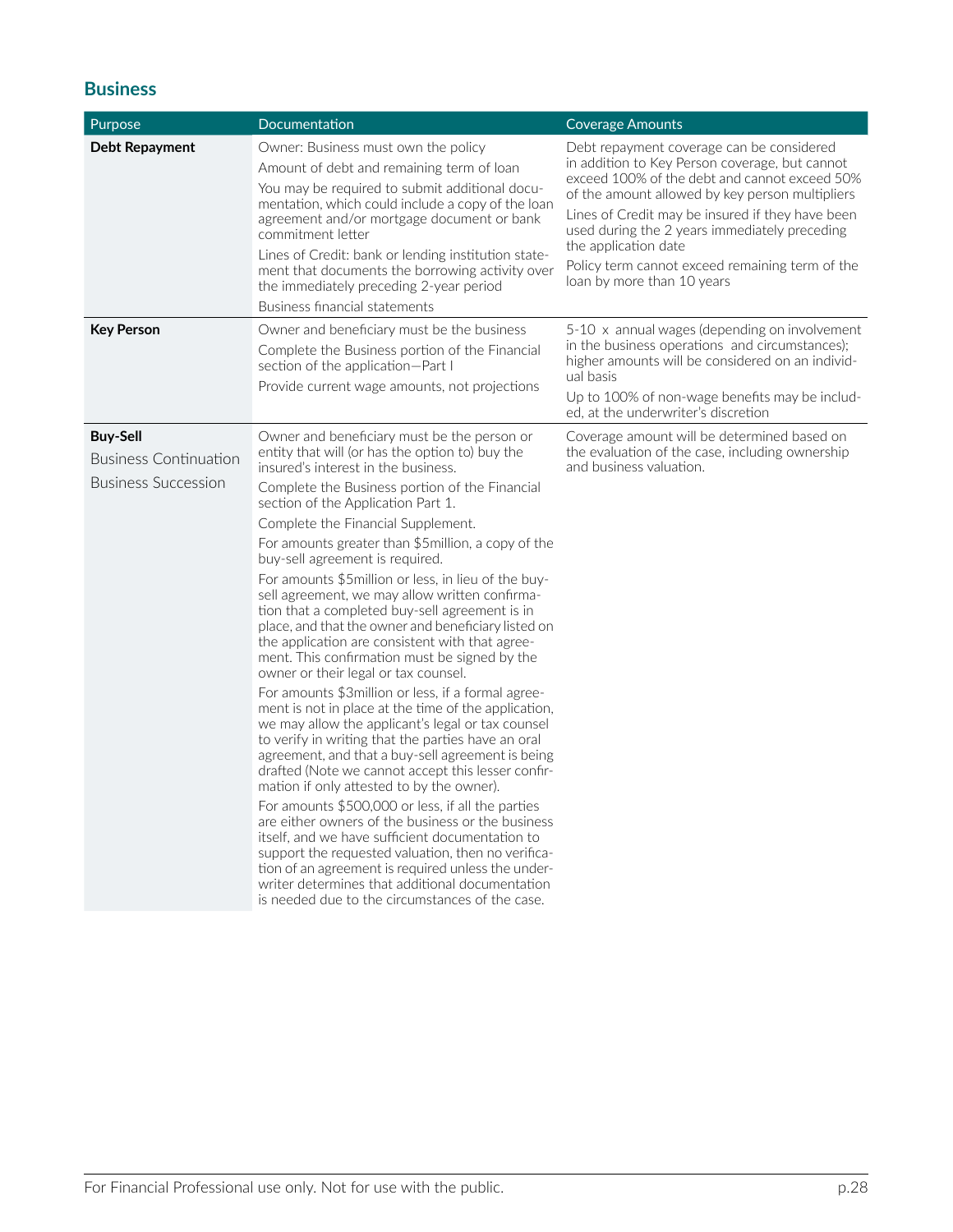## **Business**

| Purpose                                         | Documentation                                                                                                                                                                                                                                                                                                                                                                                                                                    | <b>Coverage Amounts</b>                                                                                                                                                                                                                                                                                                                                                                                       |  |
|-------------------------------------------------|--------------------------------------------------------------------------------------------------------------------------------------------------------------------------------------------------------------------------------------------------------------------------------------------------------------------------------------------------------------------------------------------------------------------------------------------------|---------------------------------------------------------------------------------------------------------------------------------------------------------------------------------------------------------------------------------------------------------------------------------------------------------------------------------------------------------------------------------------------------------------|--|
| Debt Repayment                                  | Owner: Business must own the policy<br>Amount of debt and remaining term of loan<br>You may be required to submit additional docu-<br>mentation, which could include a copy of the loan<br>agreement and/or mortgage document or bank<br>commitment letter<br>Lines of Credit: bank or lending institution state-<br>ment that documents the borrowing activity over<br>the immediately preceding 2-year period<br>Business financial statements | Debt repayment coverage can be considered<br>in addition to Key Person coverage, but cannot<br>exceed 100% of the debt and cannot exceed 50%<br>of the amount allowed by key person multipliers<br>Lines of Credit may be insured if they have been<br>used during the 2 years immediately preceding<br>the application date<br>Policy term cannot exceed remaining term of the<br>loan by more than 10 years |  |
| <b>Key Person</b>                               | Owner and beneficiary must be the business                                                                                                                                                                                                                                                                                                                                                                                                       | 5-10 x annual wages (depending on involvement                                                                                                                                                                                                                                                                                                                                                                 |  |
|                                                 | Complete the Business portion of the Financial<br>section of the application-Part I                                                                                                                                                                                                                                                                                                                                                              | in the business operations and circumstances);<br>higher amounts will be considered on an individ-<br>ual basis                                                                                                                                                                                                                                                                                               |  |
|                                                 | Provide current wage amounts, not projections                                                                                                                                                                                                                                                                                                                                                                                                    | Up to 100% of non-wage benefits may be includ-<br>ed, at the underwriter's discretion                                                                                                                                                                                                                                                                                                                         |  |
| <b>Buy-Sell</b><br><b>Business Continuation</b> | Owner and beneficiary must be the person or<br>entity that will (or has the option to) buy the<br>insured's interest in the business.                                                                                                                                                                                                                                                                                                            | Coverage amount will be determined based on<br>the evaluation of the case, including ownership<br>and business valuation.                                                                                                                                                                                                                                                                                     |  |
| <b>Business Succession</b>                      | Complete the Business portion of the Financial<br>section of the Application Part 1.                                                                                                                                                                                                                                                                                                                                                             |                                                                                                                                                                                                                                                                                                                                                                                                               |  |
|                                                 | Complete the Financial Supplement.                                                                                                                                                                                                                                                                                                                                                                                                               |                                                                                                                                                                                                                                                                                                                                                                                                               |  |
|                                                 | For amounts greater than \$5 million, a copy of the<br>buy-sell agreement is required.                                                                                                                                                                                                                                                                                                                                                           |                                                                                                                                                                                                                                                                                                                                                                                                               |  |
|                                                 | For amounts \$5million or less, in lieu of the buy-<br>sell agreement, we may allow written confirma-<br>tion that a completed buy-sell agreement is in<br>place, and that the owner and beneficiary listed on<br>the application are consistent with that agree-<br>ment. This confirmation must be signed by the<br>owner or their legal or tax counsel.                                                                                       |                                                                                                                                                                                                                                                                                                                                                                                                               |  |
|                                                 | For amounts \$3million or less, if a formal agree-<br>ment is not in place at the time of the application,<br>we may allow the applicant's legal or tax counsel<br>to verify in writing that the parties have an oral<br>agreement, and that a buy-sell agreement is being<br>drafted (Note we cannot accept this lesser confir-<br>mation if only attested to by the owner).                                                                    |                                                                                                                                                                                                                                                                                                                                                                                                               |  |
|                                                 | For amounts \$500,000 or less, if all the parties<br>are either owners of the business or the business<br>itself, and we have sufficient documentation to<br>support the requested valuation, then no verifica-<br>tion of an agreement is required unless the under-<br>writer determines that additional documentation<br>is needed due to the circumstances of the case.                                                                      |                                                                                                                                                                                                                                                                                                                                                                                                               |  |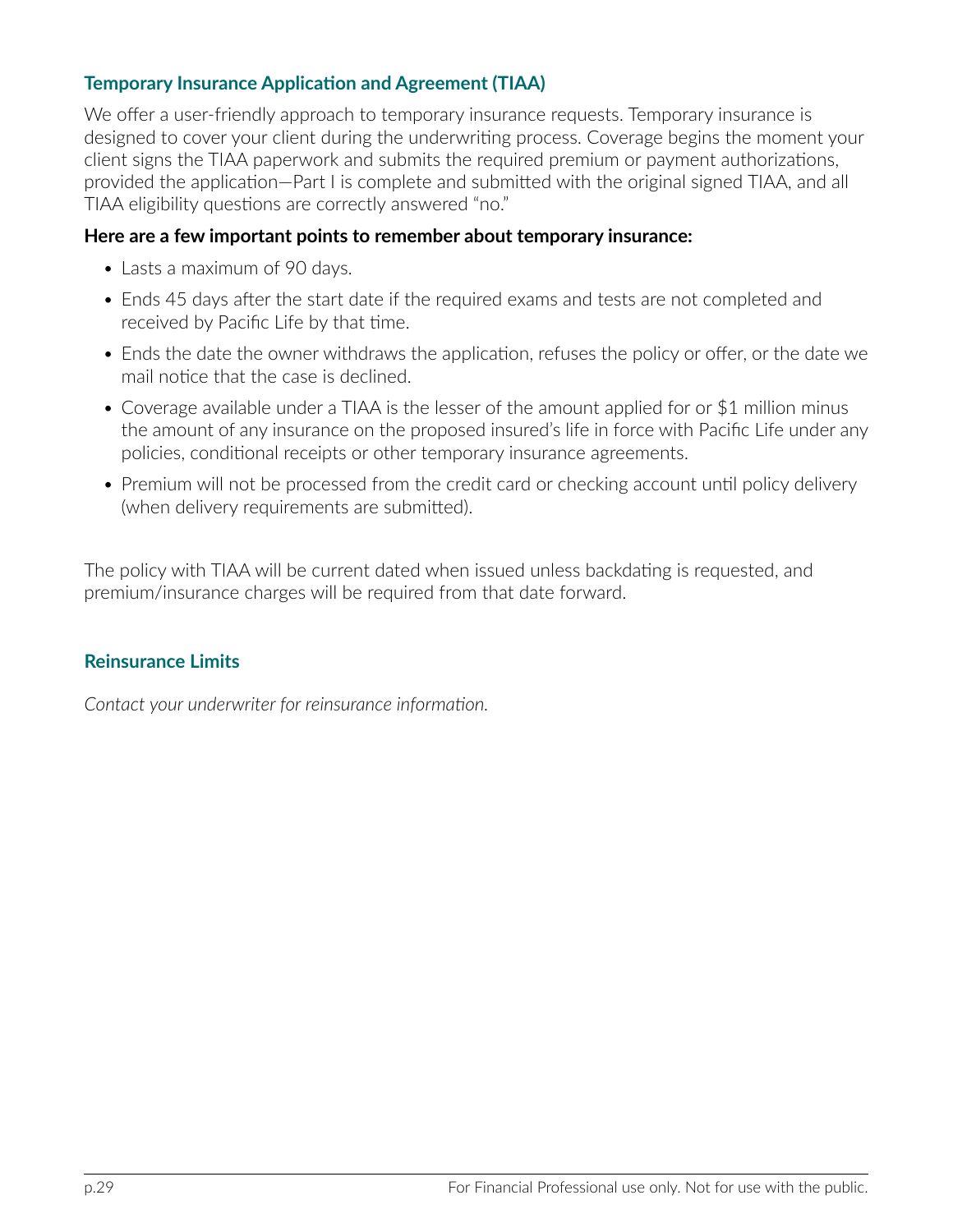# **Temporary Insurance Application and Agreement (TIAA)**

We offer a user-friendly approach to temporary insurance requests. Temporary insurance is designed to cover your client during the underwriting process. Coverage begins the moment your client signs the TIAA paperwork and submits the required premium or payment authorizations, provided the application—Part I is complete and submitted with the original signed TIAA, and all TIAA eligibility questions are correctly answered "no."

#### **Here are a few important points to remember about temporary insurance:**

- Lasts a maximum of 90 days.
- Ends 45 days after the start date if the required exams and tests are not completed and received by Pacific Life by that time.
- Ends the date the owner withdraws the application, refuses the policy or offer, or the date we mail notice that the case is declined.
- Coverage available under a TIAA is the lesser of the amount applied for or \$1 million minus the amount of any insurance on the proposed insured's life in force with Pacific Life under any policies, conditional receipts or other temporary insurance agreements.
- Premium will not be processed from the credit card or checking account until policy delivery (when delivery requirements are submitted).

The policy with TIAA will be current dated when issued unless backdating is requested, and premium/insurance charges will be required from that date forward.

## **Reinsurance Limits**

*Contact your underwriter for reinsurance information.*